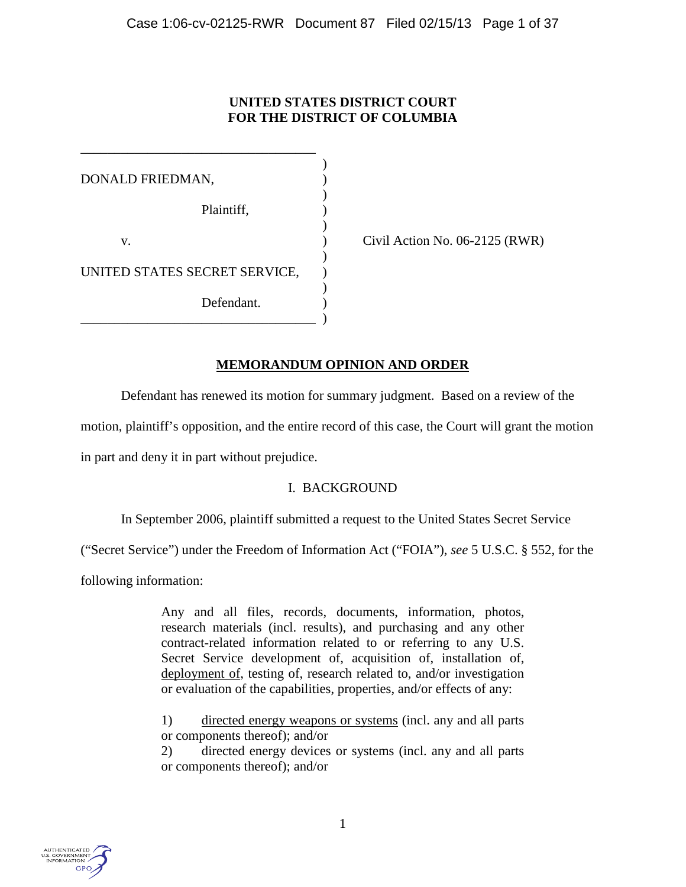# **UNITED STATES DISTRICT COURT FOR THE DISTRICT OF COLUMBIA**

) DONALD FRIEDMAN, ) ) Plaintiff, ) ) v.  $\qquad \qquad$  (vii Action No. 06-2125 (RWR)  $\lambda$ UNITED STATES SECRET SERVICE, ) Defendant. \_\_\_\_\_\_\_\_\_\_\_\_\_\_\_\_\_\_\_\_\_\_\_\_\_\_\_\_\_\_\_\_\_\_\_ )

\_\_\_\_\_\_\_\_\_\_\_\_\_\_\_\_\_\_\_\_\_\_\_\_\_\_\_\_\_\_\_\_\_\_\_

# **MEMORANDUM OPINION AND ORDER**

Defendant has renewed its motion for summary judgment. Based on a review of the

motion, plaintiff's opposition, and the entire record of this case, the Court will grant the motion

in part and deny it in part without prejudice.

# I. BACKGROUND

In September 2006, plaintiff submitted a request to the United States Secret Service

("Secret Service") under the Freedom of Information Act ("FOIA"), *see* 5 U.S.C. § 552, for the

following information:

Any and all files, records, documents, information, photos, research materials (incl. results), and purchasing and any other contract-related information related to or referring to any U.S. Secret Service development of, acquisition of, installation of, deployment of, testing of, research related to, and/or investigation or evaluation of the capabilities, properties, and/or effects of any:

1) directed energy weapons or systems (incl. any and all parts or components thereof); and/or

2) directed energy devices or systems (incl. any and all parts or components thereof); and/or

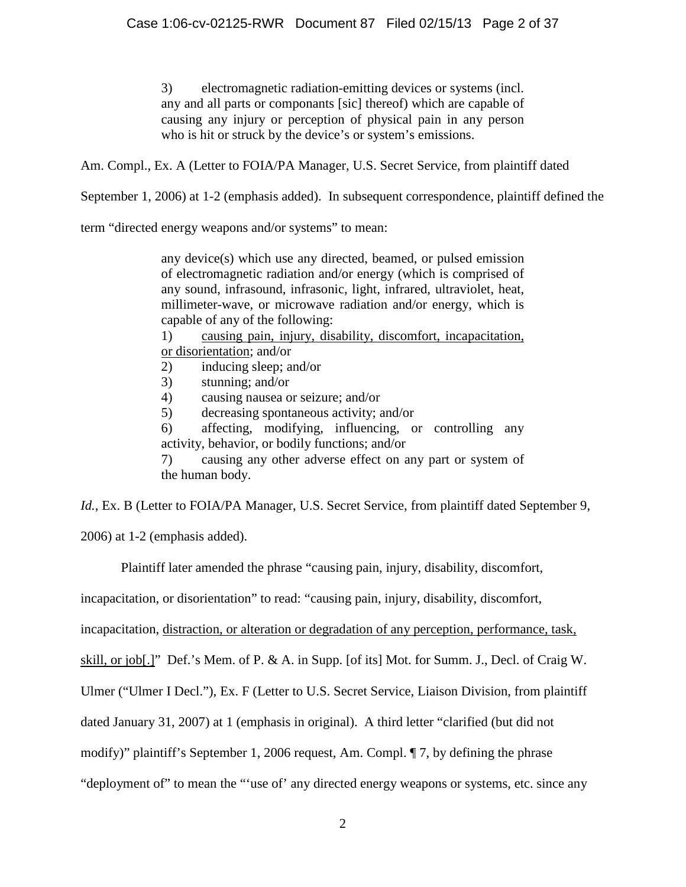3) electromagnetic radiation-emitting devices or systems (incl. any and all parts or componants [sic] thereof) which are capable of causing any injury or perception of physical pain in any person who is hit or struck by the device's or system's emissions.

Am. Compl., Ex. A (Letter to FOIA/PA Manager, U.S. Secret Service, from plaintiff dated

September 1, 2006) at 1-2 (emphasis added). In subsequent correspondence, plaintiff defined the

term "directed energy weapons and/or systems" to mean:

any device(s) which use any directed, beamed, or pulsed emission of electromagnetic radiation and/or energy (which is comprised of any sound, infrasound, infrasonic, light, infrared, ultraviolet, heat, millimeter-wave, or microwave radiation and/or energy, which is capable of any of the following:

1) causing pain, injury, disability, discomfort, incapacitation, or disorientation; and/or

- 2) inducing sleep; and/or
- 3) stunning; and/or
- 4) causing nausea or seizure; and/or
- 5) decreasing spontaneous activity; and/or

6) affecting, modifying, influencing, or controlling any activity, behavior, or bodily functions; and/or

7) causing any other adverse effect on any part or system of the human body.

*Id.*, Ex. B (Letter to FOIA/PA Manager, U.S. Secret Service, from plaintiff dated September 9,

2006) at 1-2 (emphasis added).

Plaintiff later amended the phrase "causing pain, injury, disability, discomfort,

incapacitation, or disorientation" to read: "causing pain, injury, disability, discomfort,

incapacitation, distraction, or alteration or degradation of any perception, performance, task,

skill, or job[.]" Def.'s Mem. of P. & A. in Supp. [of its] Mot. for Summ. J., Decl. of Craig W.

Ulmer ("Ulmer I Decl."), Ex. F (Letter to U.S. Secret Service, Liaison Division, from plaintiff

dated January 31, 2007) at 1 (emphasis in original). A third letter "clarified (but did not

modify)" plaintiff's September 1, 2006 request, Am. Compl. ¶ 7, by defining the phrase

"deployment of" to mean the "'use of' any directed energy weapons or systems, etc. since any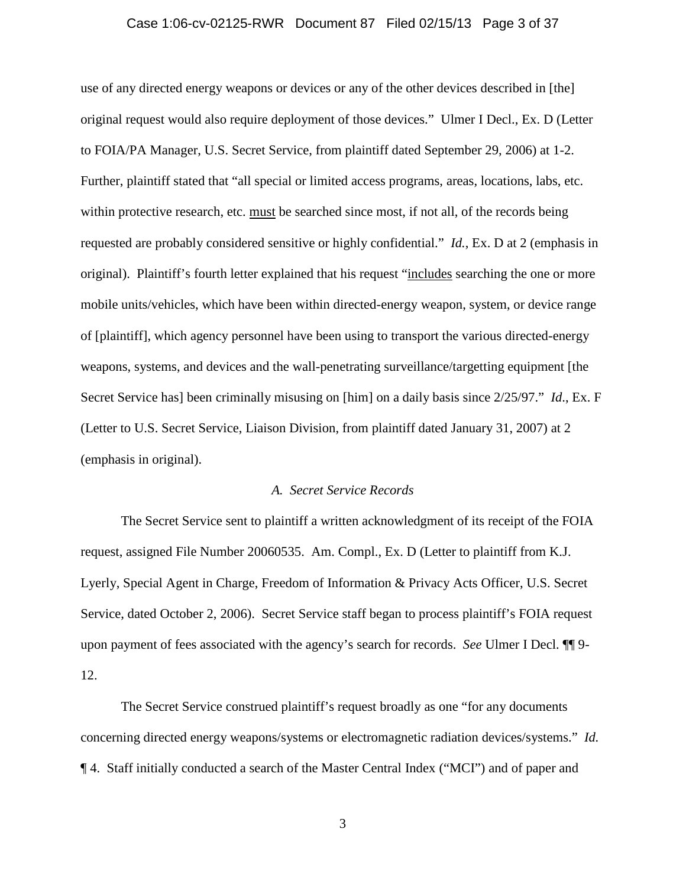### Case 1:06-cv-02125-RWR Document 87 Filed 02/15/13 Page 3 of 37

use of any directed energy weapons or devices or any of the other devices described in [the] original request would also require deployment of those devices." Ulmer I Decl., Ex. D (Letter to FOIA/PA Manager, U.S. Secret Service, from plaintiff dated September 29, 2006) at 1-2. Further, plaintiff stated that "all special or limited access programs, areas, locations, labs, etc. within protective research, etc. must be searched since most, if not all, of the records being requested are probably considered sensitive or highly confidential." *Id.*, Ex. D at 2 (emphasis in original). Plaintiff's fourth letter explained that his request "includes searching the one or more mobile units/vehicles, which have been within directed-energy weapon, system, or device range of [plaintiff], which agency personnel have been using to transport the various directed-energy weapons, systems, and devices and the wall-penetrating surveillance/targetting equipment [the Secret Service has] been criminally misusing on [him] on a daily basis since 2/25/97." *Id*., Ex. F (Letter to U.S. Secret Service, Liaison Division, from plaintiff dated January 31, 2007) at 2 (emphasis in original).

#### *A. Secret Service Records*

The Secret Service sent to plaintiff a written acknowledgment of its receipt of the FOIA request, assigned File Number 20060535. Am. Compl., Ex. D (Letter to plaintiff from K.J. Lyerly, Special Agent in Charge, Freedom of Information & Privacy Acts Officer, U.S. Secret Service, dated October 2, 2006). Secret Service staff began to process plaintiff's FOIA request upon payment of fees associated with the agency's search for records. *See* Ulmer I Decl. ¶¶ 9- 12.

The Secret Service construed plaintiff's request broadly as one "for any documents concerning directed energy weapons/systems or electromagnetic radiation devices/systems." *Id.* ¶ 4. Staff initially conducted a search of the Master Central Index ("MCI") and of paper and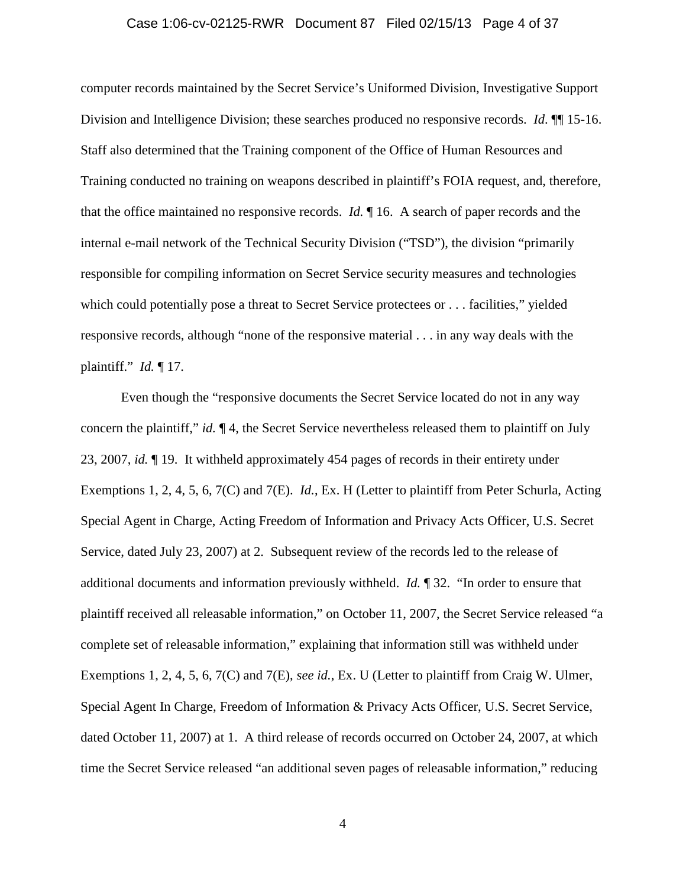### Case 1:06-cv-02125-RWR Document 87 Filed 02/15/13 Page 4 of 37

computer records maintained by the Secret Service's Uniformed Division, Investigative Support Division and Intelligence Division; these searches produced no responsive records. *Id*. ¶¶ 15-16. Staff also determined that the Training component of the Office of Human Resources and Training conducted no training on weapons described in plaintiff's FOIA request, and, therefore, that the office maintained no responsive records. *Id.* ¶ 16. A search of paper records and the internal e-mail network of the Technical Security Division ("TSD"), the division "primarily responsible for compiling information on Secret Service security measures and technologies which could potentially pose a threat to Secret Service protectees or . . . facilities," yielded responsive records, although "none of the responsive material . . . in any way deals with the plaintiff." *Id.* ¶ 17.

Even though the "responsive documents the Secret Service located do not in any way concern the plaintiff," *id.* ¶ 4, the Secret Service nevertheless released them to plaintiff on July 23, 2007, *id.* ¶ 19. It withheld approximately 454 pages of records in their entirety under Exemptions 1, 2, 4, 5, 6, 7(C) and 7(E). *Id.*, Ex. H (Letter to plaintiff from Peter Schurla, Acting Special Agent in Charge, Acting Freedom of Information and Privacy Acts Officer, U.S. Secret Service, dated July 23, 2007) at 2. Subsequent review of the records led to the release of additional documents and information previously withheld. *Id.* ¶ 32. "In order to ensure that plaintiff received all releasable information," on October 11, 2007, the Secret Service released "a complete set of releasable information," explaining that information still was withheld under Exemptions 1, 2, 4, 5, 6, 7(C) and 7(E), *see id.*, Ex. U (Letter to plaintiff from Craig W. Ulmer, Special Agent In Charge, Freedom of Information & Privacy Acts Officer, U.S. Secret Service, dated October 11, 2007) at 1. A third release of records occurred on October 24, 2007, at which time the Secret Service released "an additional seven pages of releasable information," reducing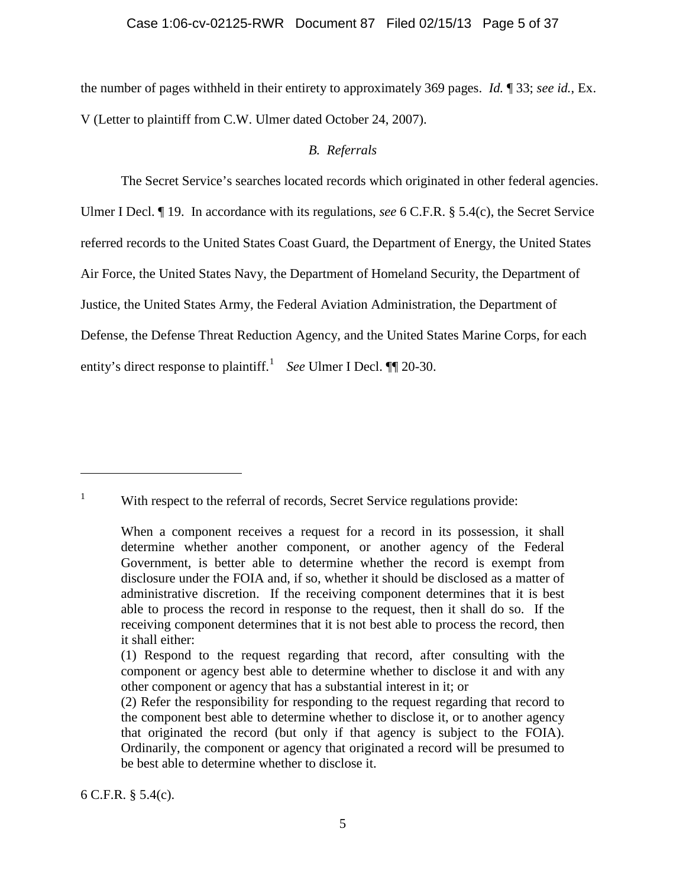### Case 1:06-cv-02125-RWR Document 87 Filed 02/15/13 Page 5 of 37

the number of pages withheld in their entirety to approximately 369 pages. *Id.* ¶ 33; *see id.*, Ex. V (Letter to plaintiff from C.W. Ulmer dated October 24, 2007).

# *B. Referrals*

The Secret Service's searches located records which originated in other federal agencies. Ulmer I Decl. ¶ 19. In accordance with its regulations, *see* 6 C.F.R. § 5.4(c), the Secret Service referred records to the United States Coast Guard, the Department of Energy, the United States Air Force, the United States Navy, the Department of Homeland Security, the Department of Justice, the United States Army, the Federal Aviation Administration, the Department of Defense, the Defense Threat Reduction Agency, and the United States Marine Corps, for each entity's direct response to plaintiff.<sup>[1](#page-4-0)</sup> *See* Ulmer I Decl.  $\P$  20-30.

6 C.F.R. § 5.4(c).

 $\overline{a}$ 

<span id="page-4-0"></span><sup>&</sup>lt;sup>1</sup> With respect to the referral of records, Secret Service regulations provide:

When a component receives a request for a record in its possession, it shall determine whether another component, or another agency of the Federal Government, is better able to determine whether the record is exempt from disclosure under the FOIA and, if so, whether it should be disclosed as a matter of administrative discretion. If the receiving component determines that it is best able to process the record in response to the request, then it shall do so. If the receiving component determines that it is not best able to process the record, then it shall either:

<sup>(1)</sup> Respond to the request regarding that record, after consulting with the component or agency best able to determine whether to disclose it and with any other component or agency that has a substantial interest in it; or

<sup>(2)</sup> Refer the responsibility for responding to the request regarding that record to the component best able to determine whether to disclose it, or to another agency that originated the record (but only if that agency is subject to the FOIA). Ordinarily, the component or agency that originated a record will be presumed to be best able to determine whether to disclose it.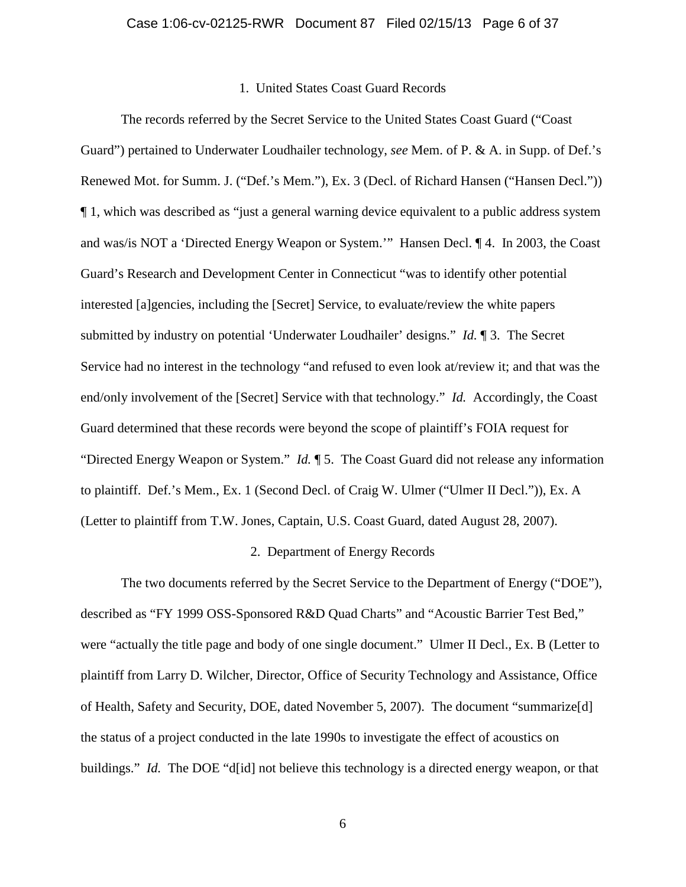#### 1. United States Coast Guard Records

The records referred by the Secret Service to the United States Coast Guard ("Coast Guard") pertained to Underwater Loudhailer technology, *see* Mem. of P. & A. in Supp. of Def.'s Renewed Mot. for Summ. J. ("Def.'s Mem."), Ex. 3 (Decl. of Richard Hansen ("Hansen Decl.")) ¶ 1, which was described as "just a general warning device equivalent to a public address system and was/is NOT a 'Directed Energy Weapon or System.'" Hansen Decl. ¶ 4. In 2003, the Coast Guard's Research and Development Center in Connecticut "was to identify other potential interested [a]gencies, including the [Secret] Service, to evaluate/review the white papers submitted by industry on potential 'Underwater Loudhailer' designs." *Id.* ¶ 3. The Secret Service had no interest in the technology "and refused to even look at/review it; and that was the end/only involvement of the [Secret] Service with that technology." *Id.* Accordingly, the Coast Guard determined that these records were beyond the scope of plaintiff's FOIA request for "Directed Energy Weapon or System." *Id.* ¶ 5. The Coast Guard did not release any information to plaintiff. Def.'s Mem., Ex. 1 (Second Decl. of Craig W. Ulmer ("Ulmer II Decl.")), Ex. A (Letter to plaintiff from T.W. Jones, Captain, U.S. Coast Guard, dated August 28, 2007).

#### 2. Department of Energy Records

The two documents referred by the Secret Service to the Department of Energy ("DOE"), described as "FY 1999 OSS-Sponsored R&D Quad Charts" and "Acoustic Barrier Test Bed," were "actually the title page and body of one single document." Ulmer II Decl., Ex. B (Letter to plaintiff from Larry D. Wilcher, Director, Office of Security Technology and Assistance, Office of Health, Safety and Security, DOE, dated November 5, 2007). The document "summarize[d] the status of a project conducted in the late 1990s to investigate the effect of acoustics on buildings." *Id.* The DOE "d[id] not believe this technology is a directed energy weapon, or that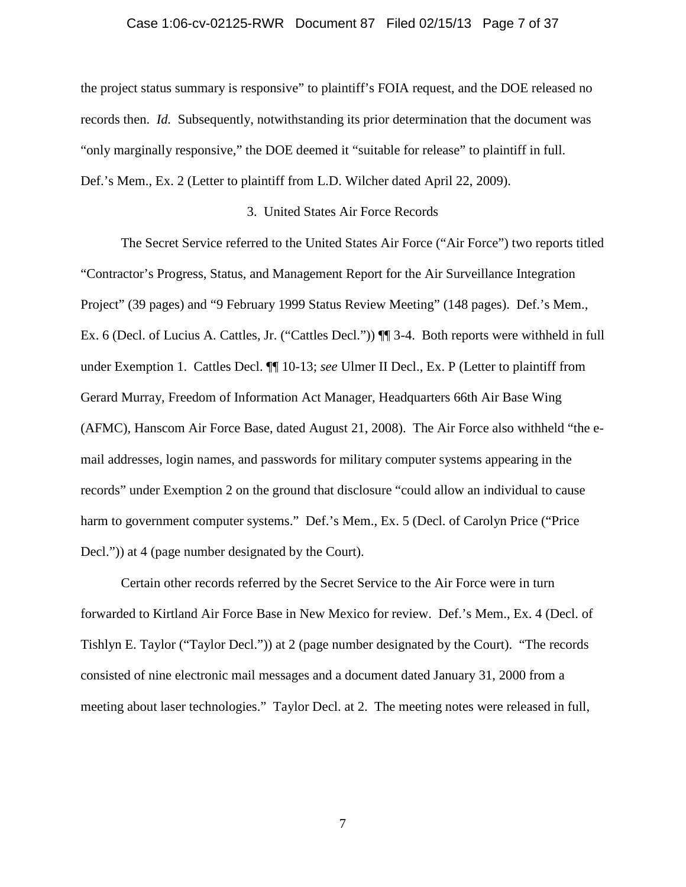### Case 1:06-cv-02125-RWR Document 87 Filed 02/15/13 Page 7 of 37

the project status summary is responsive" to plaintiff's FOIA request, and the DOE released no records then. *Id.* Subsequently, notwithstanding its prior determination that the document was "only marginally responsive," the DOE deemed it "suitable for release" to plaintiff in full. Def.'s Mem., Ex. 2 (Letter to plaintiff from L.D. Wilcher dated April 22, 2009).

## 3. United States Air Force Records

The Secret Service referred to the United States Air Force ("Air Force") two reports titled "Contractor's Progress, Status, and Management Report for the Air Surveillance Integration Project" (39 pages) and "9 February 1999 Status Review Meeting" (148 pages). Def.'s Mem., Ex. 6 (Decl. of Lucius A. Cattles, Jr. ("Cattles Decl.")) ¶¶ 3-4. Both reports were withheld in full under Exemption 1. Cattles Decl. ¶¶ 10-13; *see* Ulmer II Decl., Ex. P (Letter to plaintiff from Gerard Murray, Freedom of Information Act Manager, Headquarters 66th Air Base Wing (AFMC), Hanscom Air Force Base, dated August 21, 2008). The Air Force also withheld "the email addresses, login names, and passwords for military computer systems appearing in the records" under Exemption 2 on the ground that disclosure "could allow an individual to cause harm to government computer systems." Def.'s Mem., Ex. 5 (Decl. of Carolyn Price ("Price Decl.")) at 4 (page number designated by the Court).

Certain other records referred by the Secret Service to the Air Force were in turn forwarded to Kirtland Air Force Base in New Mexico for review. Def.'s Mem., Ex. 4 (Decl. of Tishlyn E. Taylor ("Taylor Decl.")) at 2 (page number designated by the Court). "The records consisted of nine electronic mail messages and a document dated January 31, 2000 from a meeting about laser technologies." Taylor Decl. at 2. The meeting notes were released in full,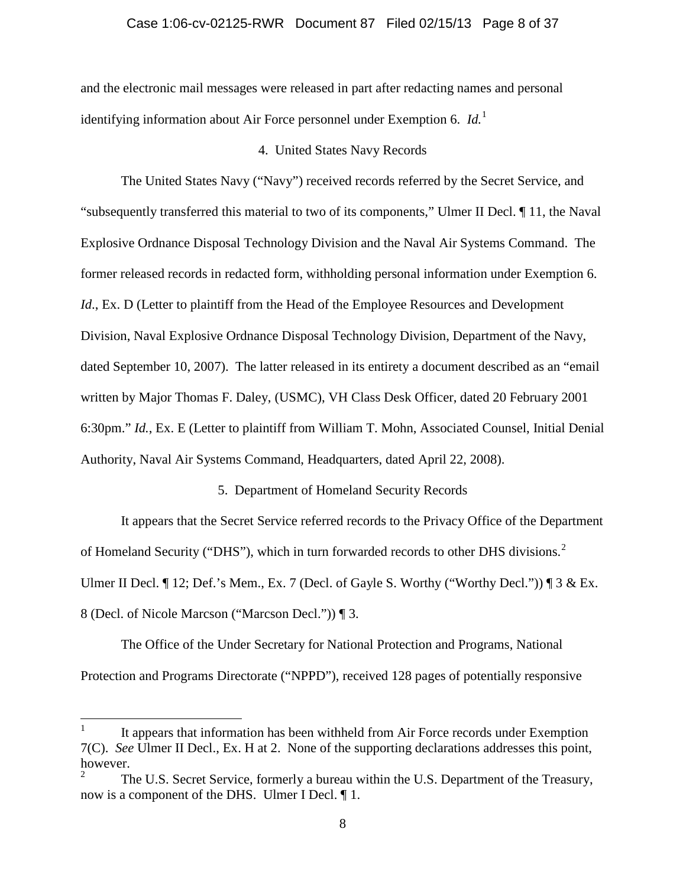### Case 1:06-cv-02125-RWR Document 87 Filed 02/15/13 Page 8 of 37

and the electronic mail messages were released in part after redacting names and personal identifying information about Air Force personnel under Exemption 6. *Id.*[1](#page-7-0)

# 4. United States Navy Records

The United States Navy ("Navy") received records referred by the Secret Service, and "subsequently transferred this material to two of its components," Ulmer II Decl. ¶ 11, the Naval Explosive Ordnance Disposal Technology Division and the Naval Air Systems Command. The former released records in redacted form, withholding personal information under Exemption 6. *Id.*, Ex. D (Letter to plaintiff from the Head of the Employee Resources and Development Division, Naval Explosive Ordnance Disposal Technology Division, Department of the Navy, dated September 10, 2007). The latter released in its entirety a document described as an "email written by Major Thomas F. Daley, (USMC), VH Class Desk Officer, dated 20 February 2001 6:30pm." *Id.*, Ex. E (Letter to plaintiff from William T. Mohn, Associated Counsel, Initial Denial Authority, Naval Air Systems Command, Headquarters, dated April 22, 2008).

# 5. Department of Homeland Security Records

It appears that the Secret Service referred records to the Privacy Office of the Department of Homeland Security ("DHS"), which in turn forwarded records to other DHS divisions.<sup>[2](#page-7-1)</sup> Ulmer II Decl. ¶ 12; Def.'s Mem., Ex. 7 (Decl. of Gayle S. Worthy ("Worthy Decl.")) ¶ 3 & Ex. 8 (Decl. of Nicole Marcson ("Marcson Decl.")) ¶ 3.

The Office of the Under Secretary for National Protection and Programs, National Protection and Programs Directorate ("NPPD"), received 128 pages of potentially responsive

<span id="page-7-0"></span>It appears that information has been withheld from Air Force records under Exemption 7(C). *See* Ulmer II Decl., Ex. H at 2. None of the supporting declarations addresses this point, however.

<span id="page-7-1"></span><sup>2</sup> The U.S. Secret Service, formerly a bureau within the U.S. Department of the Treasury, now is a component of the DHS. Ulmer I Decl. ¶ 1.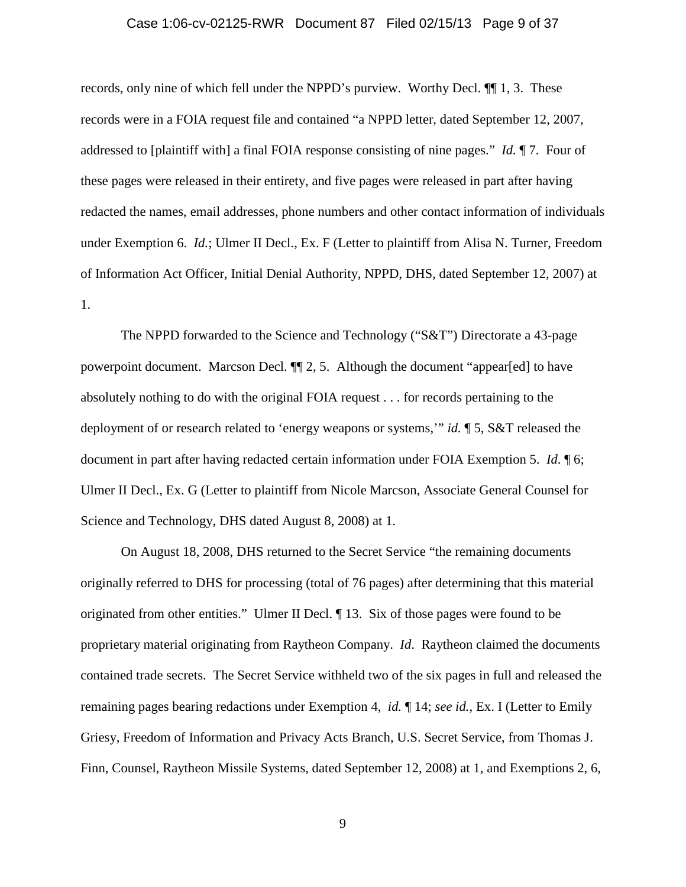#### Case 1:06-cv-02125-RWR Document 87 Filed 02/15/13 Page 9 of 37

records, only nine of which fell under the NPPD's purview. Worthy Decl. ¶¶ 1, 3. These records were in a FOIA request file and contained "a NPPD letter, dated September 12, 2007, addressed to [plaintiff with] a final FOIA response consisting of nine pages." *Id.* ¶ 7. Four of these pages were released in their entirety, and five pages were released in part after having redacted the names, email addresses, phone numbers and other contact information of individuals under Exemption 6. *Id.*; Ulmer II Decl., Ex. F (Letter to plaintiff from Alisa N. Turner, Freedom of Information Act Officer, Initial Denial Authority, NPPD, DHS, dated September 12, 2007) at 1.

The NPPD forwarded to the Science and Technology ("S&T") Directorate a 43-page powerpoint document. Marcson Decl. ¶¶ 2, 5. Although the document "appear[ed] to have absolutely nothing to do with the original FOIA request . . . for records pertaining to the deployment of or research related to 'energy weapons or systems,'" *id.* ¶ 5, S&T released the document in part after having redacted certain information under FOIA Exemption 5. *Id*. ¶ 6; Ulmer II Decl., Ex. G (Letter to plaintiff from Nicole Marcson, Associate General Counsel for Science and Technology, DHS dated August 8, 2008) at 1.

On August 18, 2008, DHS returned to the Secret Service "the remaining documents originally referred to DHS for processing (total of 76 pages) after determining that this material originated from other entities." Ulmer II Decl. ¶ 13. Six of those pages were found to be proprietary material originating from Raytheon Company. *Id*. Raytheon claimed the documents contained trade secrets. The Secret Service withheld two of the six pages in full and released the remaining pages bearing redactions under Exemption 4, *id.* ¶ 14; *see id.*, Ex. I (Letter to Emily Griesy, Freedom of Information and Privacy Acts Branch, U.S. Secret Service, from Thomas J. Finn, Counsel, Raytheon Missile Systems, dated September 12, 2008) at 1, and Exemptions 2, 6,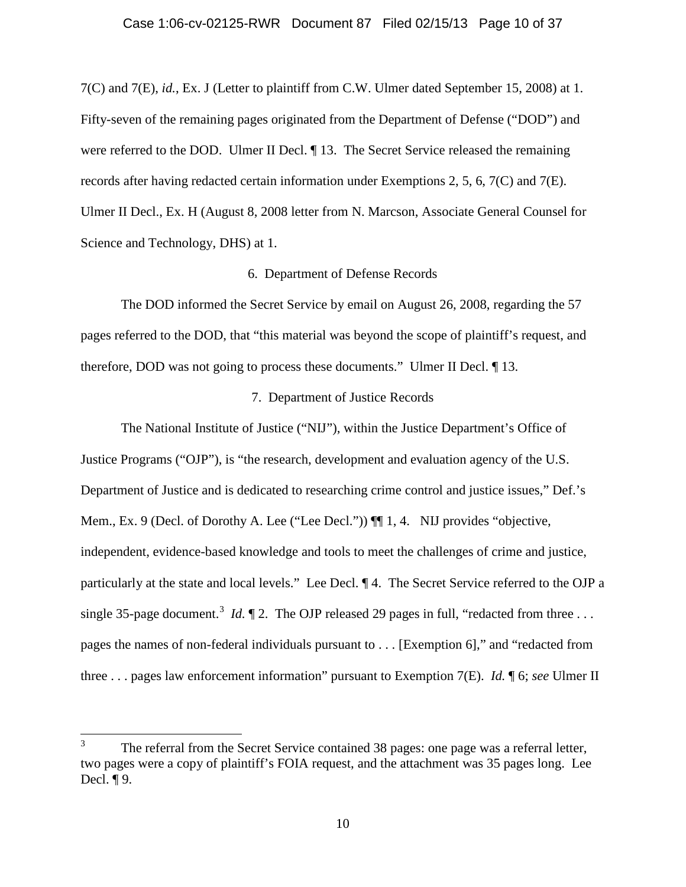### Case 1:06-cv-02125-RWR Document 87 Filed 02/15/13 Page 10 of 37

7(C) and 7(E), *id.*, Ex. J (Letter to plaintiff from C.W. Ulmer dated September 15, 2008) at 1. Fifty-seven of the remaining pages originated from the Department of Defense ("DOD") and were referred to the DOD. Ulmer II Decl.  $\P$  13. The Secret Service released the remaining records after having redacted certain information under Exemptions 2, 5, 6, 7(C) and 7(E). Ulmer II Decl., Ex. H (August 8, 2008 letter from N. Marcson, Associate General Counsel for Science and Technology, DHS) at 1.

### 6. Department of Defense Records

The DOD informed the Secret Service by email on August 26, 2008, regarding the 57 pages referred to the DOD, that "this material was beyond the scope of plaintiff's request, and therefore, DOD was not going to process these documents." Ulmer II Decl. ¶ 13.

# 7. Department of Justice Records

The National Institute of Justice ("NIJ"), within the Justice Department's Office of Justice Programs ("OJP"), is "the research, development and evaluation agency of the U.S. Department of Justice and is dedicated to researching crime control and justice issues," Def.'s Mem., Ex. 9 (Decl. of Dorothy A. Lee ("Lee Decl."))  $\P\P$  1, 4. NIJ provides "objective, independent, evidence-based knowledge and tools to meet the challenges of crime and justice, particularly at the state and local levels." Lee Decl. ¶ 4. The Secret Service referred to the OJP a single [3](#page-9-0)5-page document.<sup>3</sup> *Id.*  $\llbracket 2$ . The OJP released 29 pages in full, "redacted from three ... pages the names of non-federal individuals pursuant to . . . [Exemption 6]," and "redacted from three . . . pages law enforcement information" pursuant to Exemption 7(E). *Id.* ¶ 6; *see* Ulmer II

<span id="page-9-0"></span><sup>&</sup>lt;sup>3</sup> The referral from the Secret Service contained 38 pages: one page was a referral letter, two pages were a copy of plaintiff's FOIA request, and the attachment was 35 pages long. Lee Decl. ¶ 9.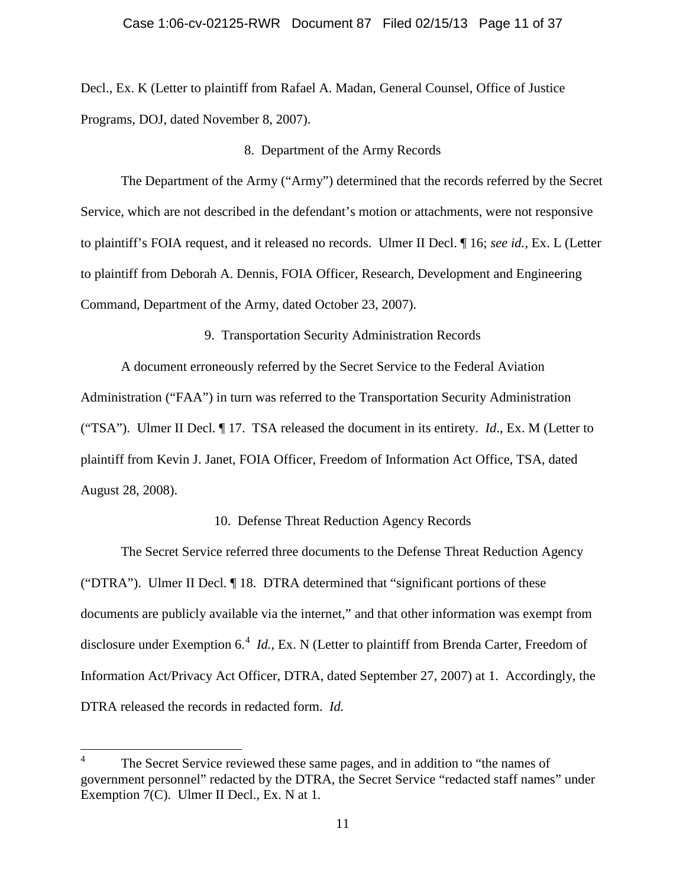Decl., Ex. K (Letter to plaintiff from Rafael A. Madan, General Counsel, Office of Justice Programs, DOJ, dated November 8, 2007).

#### 8. Department of the Army Records

The Department of the Army ("Army") determined that the records referred by the Secret Service, which are not described in the defendant's motion or attachments, were not responsive to plaintiff's FOIA request, and it released no records. Ulmer II Decl. ¶ 16; *see id.*, Ex. L (Letter to plaintiff from Deborah A. Dennis, FOIA Officer, Research, Development and Engineering Command, Department of the Army, dated October 23, 2007).

9. Transportation Security Administration Records

A document erroneously referred by the Secret Service to the Federal Aviation Administration ("FAA") in turn was referred to the Transportation Security Administration ("TSA"). Ulmer II Decl. ¶ 17. TSA released the document in its entirety. *Id*., Ex. M (Letter to plaintiff from Kevin J. Janet, FOIA Officer, Freedom of Information Act Office, TSA, dated August 28, 2008).

# 10. Defense Threat Reduction Agency Records

The Secret Service referred three documents to the Defense Threat Reduction Agency ("DTRA"). Ulmer II Decl. ¶ 18. DTRA determined that "significant portions of these documents are publicly available via the internet," and that other information was exempt from disclosure under Exemption 6. [4](#page-10-0) *Id.*, Ex. N (Letter to plaintiff from Brenda Carter, Freedom of Information Act/Privacy Act Officer, DTRA, dated September 27, 2007) at 1. Accordingly, the DTRA released the records in redacted form. *Id.*

<span id="page-10-0"></span><sup>&</sup>lt;sup>4</sup> The Secret Service reviewed these same pages, and in addition to "the names of government personnel" redacted by the DTRA, the Secret Service "redacted staff names" under Exemption 7(C). Ulmer II Decl., Ex. N at 1*.*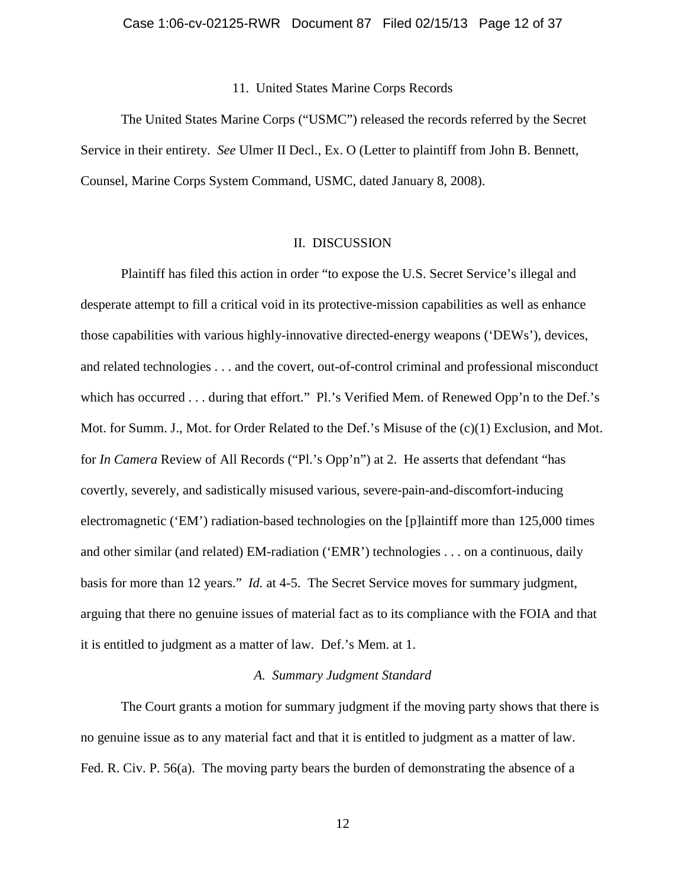11. United States Marine Corps Records

The United States Marine Corps ("USMC") released the records referred by the Secret Service in their entirety. *See* Ulmer II Decl., Ex. O (Letter to plaintiff from John B. Bennett, Counsel, Marine Corps System Command, USMC, dated January 8, 2008).

### II. DISCUSSION

Plaintiff has filed this action in order "to expose the U.S. Secret Service's illegal and desperate attempt to fill a critical void in its protective-mission capabilities as well as enhance those capabilities with various highly-innovative directed-energy weapons ('DEWs'), devices, and related technologies . . . and the covert, out-of-control criminal and professional misconduct which has occurred . . . during that effort." Pl.'s Verified Mem. of Renewed Opp'n to the Def.'s Mot. for Summ. J., Mot. for Order Related to the Def.'s Misuse of the  $(c)(1)$  Exclusion, and Mot. for *In Camera* Review of All Records ("Pl.'s Opp'n") at 2. He asserts that defendant "has covertly, severely, and sadistically misused various, severe-pain-and-discomfort-inducing electromagnetic ('EM') radiation-based technologies on the [p]laintiff more than 125,000 times and other similar (and related) EM-radiation ('EMR') technologies . . . on a continuous, daily basis for more than 12 years." *Id.* at 4-5. The Secret Service moves for summary judgment, arguing that there no genuine issues of material fact as to its compliance with the FOIA and that it is entitled to judgment as a matter of law. Def.'s Mem. at 1.

# *A. Summary Judgment Standard*

The Court grants a motion for summary judgment if the moving party shows that there is no genuine issue as to any material fact and that it is entitled to judgment as a matter of law. Fed. R. Civ. P. 56(a). The moving party bears the burden of demonstrating the absence of a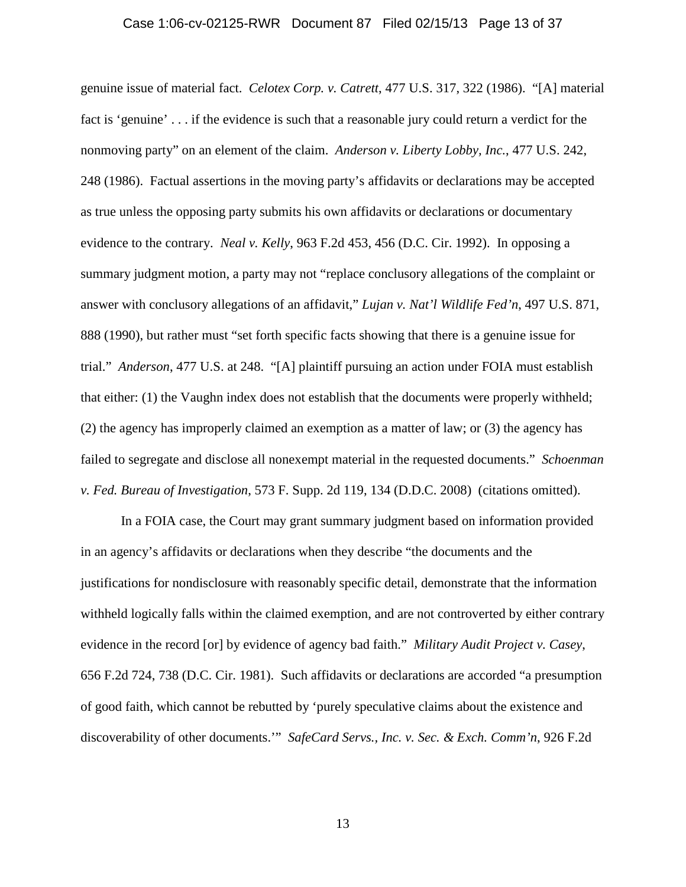#### Case 1:06-cv-02125-RWR Document 87 Filed 02/15/13 Page 13 of 37

genuine issue of material fact. *Celotex Corp. v. Catrett*, 477 U.S. 317, 322 (1986). "[A] material fact is 'genuine' . . . if the evidence is such that a reasonable jury could return a verdict for the nonmoving party" on an element of the claim. *Anderson v. Liberty Lobby, Inc.*, 477 U.S. 242, 248 (1986). Factual assertions in the moving party's affidavits or declarations may be accepted as true unless the opposing party submits his own affidavits or declarations or documentary evidence to the contrary. *Neal v. Kelly*, 963 F.2d 453, 456 (D.C. Cir. 1992). In opposing a summary judgment motion, a party may not "replace conclusory allegations of the complaint or answer with conclusory allegations of an affidavit," *Lujan v. Nat'l Wildlife Fed'n*, 497 U.S. 871, 888 (1990), but rather must "set forth specific facts showing that there is a genuine issue for trial." *Anderson*, 477 U.S. at 248. "[A] plaintiff pursuing an action under FOIA must establish that either: (1) the Vaughn index does not establish that the documents were properly withheld; (2) the agency has improperly claimed an exemption as a matter of law; or (3) the agency has failed to segregate and disclose all nonexempt material in the requested documents." *Schoenman v. Fed. Bureau of Investigation*, 573 F. Supp. 2d 119, 134 (D.D.C. 2008) (citations omitted).

In a FOIA case, the Court may grant summary judgment based on information provided in an agency's affidavits or declarations when they describe "the documents and the justifications for nondisclosure with reasonably specific detail, demonstrate that the information withheld logically falls within the claimed exemption, and are not controverted by either contrary evidence in the record [or] by evidence of agency bad faith." *Military Audit Project v. Casey*, 656 F.2d 724, 738 (D.C. Cir. 1981). Such affidavits or declarations are accorded "a presumption of good faith, which cannot be rebutted by 'purely speculative claims about the existence and discoverability of other documents.'" *SafeCard Servs., Inc. v. Sec. & Exch. Comm'n*, 926 F.2d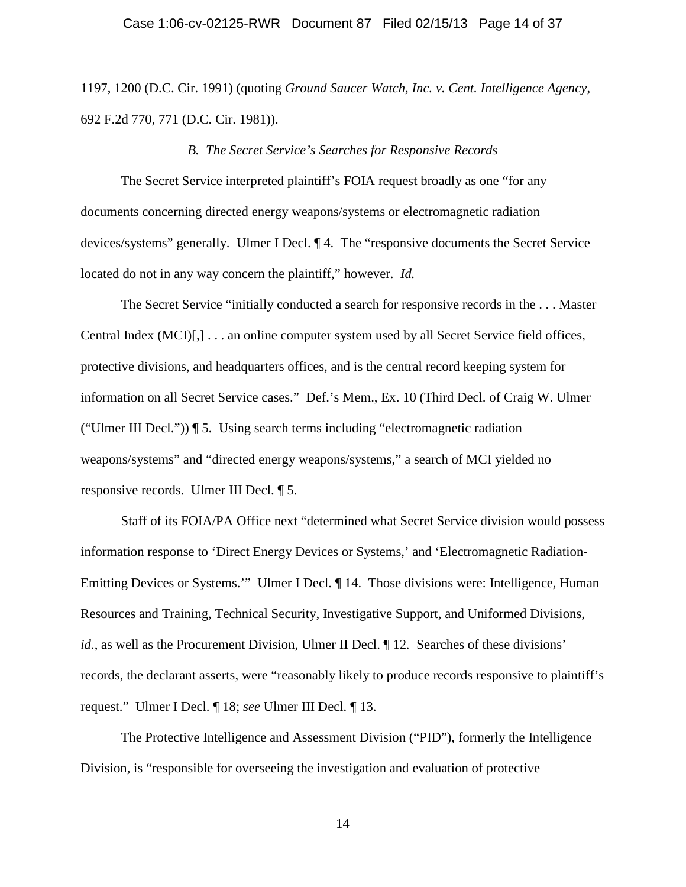### Case 1:06-cv-02125-RWR Document 87 Filed 02/15/13 Page 14 of 37

1197, 1200 (D.C. Cir. 1991) (quoting *Ground Saucer Watch, Inc. v. Cent. Intelligence Agency*, 692 F.2d 770, 771 (D.C. Cir. 1981)).

#### *B. The Secret Service's Searches for Responsive Records*

The Secret Service interpreted plaintiff's FOIA request broadly as one "for any documents concerning directed energy weapons/systems or electromagnetic radiation devices/systems" generally. Ulmer I Decl. ¶ 4. The "responsive documents the Secret Service located do not in any way concern the plaintiff," however. *Id.*

The Secret Service "initially conducted a search for responsive records in the . . . Master Central Index (MCI)[,] . . . an online computer system used by all Secret Service field offices, protective divisions, and headquarters offices, and is the central record keeping system for information on all Secret Service cases." Def.'s Mem., Ex. 10 (Third Decl. of Craig W. Ulmer ("Ulmer III Decl.")) ¶ 5. Using search terms including "electromagnetic radiation weapons/systems" and "directed energy weapons/systems," a search of MCI yielded no responsive records. Ulmer III Decl. ¶ 5.

Staff of its FOIA/PA Office next "determined what Secret Service division would possess information response to 'Direct Energy Devices or Systems,' and 'Electromagnetic Radiation-Emitting Devices or Systems.'" Ulmer I Decl. ¶ 14. Those divisions were: Intelligence, Human Resources and Training, Technical Security, Investigative Support, and Uniformed Divisions, *id.*, as well as the Procurement Division, Ulmer II Decl.  $\P$  12. Searches of these divisions' records, the declarant asserts, were "reasonably likely to produce records responsive to plaintiff's request." Ulmer I Decl. ¶ 18; *see* Ulmer III Decl. ¶ 13.

The Protective Intelligence and Assessment Division ("PID"), formerly the Intelligence Division, is "responsible for overseeing the investigation and evaluation of protective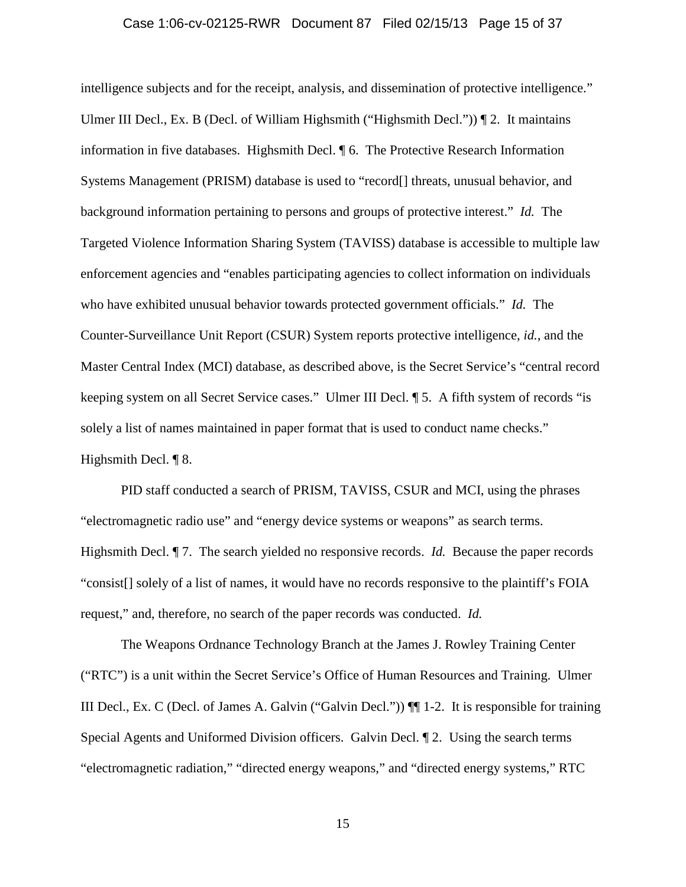### Case 1:06-cv-02125-RWR Document 87 Filed 02/15/13 Page 15 of 37

intelligence subjects and for the receipt, analysis, and dissemination of protective intelligence." Ulmer III Decl., Ex. B (Decl. of William Highsmith ("Highsmith Decl.")) ¶ 2. It maintains information in five databases. Highsmith Decl. ¶ 6. The Protective Research Information Systems Management (PRISM) database is used to "record[] threats, unusual behavior, and background information pertaining to persons and groups of protective interest." *Id.* The Targeted Violence Information Sharing System (TAVISS) database is accessible to multiple law enforcement agencies and "enables participating agencies to collect information on individuals who have exhibited unusual behavior towards protected government officials." *Id.* The Counter-Surveillance Unit Report (CSUR) System reports protective intelligence, *id.*, and the Master Central Index (MCI) database, as described above, is the Secret Service's "central record keeping system on all Secret Service cases." Ulmer III Decl. ¶ 5. A fifth system of records "is solely a list of names maintained in paper format that is used to conduct name checks." Highsmith Decl. ¶ 8.

PID staff conducted a search of PRISM, TAVISS, CSUR and MCI, using the phrases "electromagnetic radio use" and "energy device systems or weapons" as search terms. Highsmith Decl. ¶ 7. The search yielded no responsive records. *Id.* Because the paper records "consist[] solely of a list of names, it would have no records responsive to the plaintiff's FOIA request," and, therefore, no search of the paper records was conducted. *Id.*

The Weapons Ordnance Technology Branch at the James J. Rowley Training Center ("RTC") is a unit within the Secret Service's Office of Human Resources and Training. Ulmer III Decl., Ex. C (Decl. of James A. Galvin ("Galvin Decl.")) ¶¶ 1-2. It is responsible for training Special Agents and Uniformed Division officers. Galvin Decl. ¶ 2. Using the search terms "electromagnetic radiation," "directed energy weapons," and "directed energy systems," RTC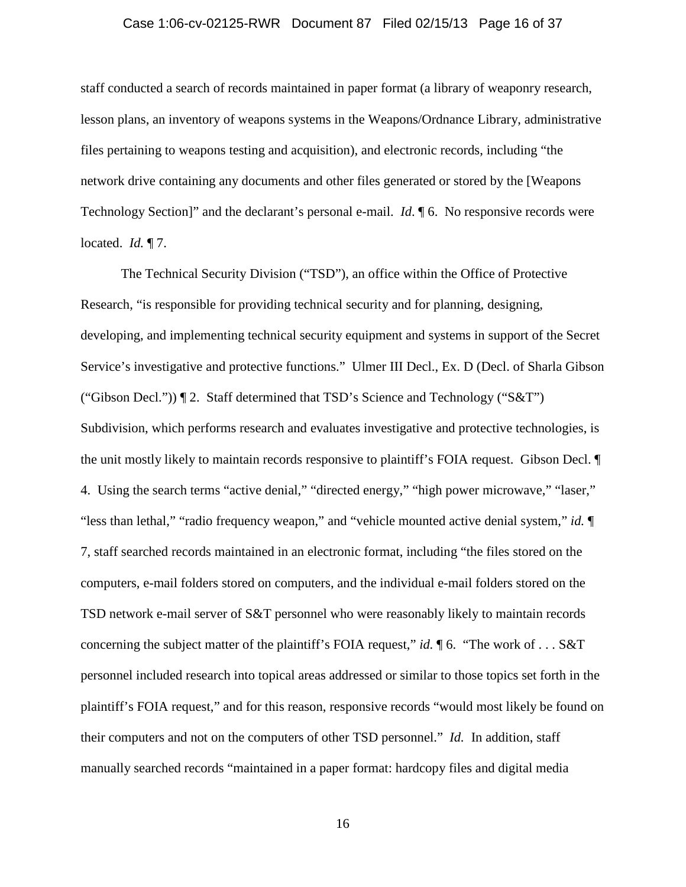#### Case 1:06-cv-02125-RWR Document 87 Filed 02/15/13 Page 16 of 37

staff conducted a search of records maintained in paper format (a library of weaponry research, lesson plans, an inventory of weapons systems in the Weapons/Ordnance Library, administrative files pertaining to weapons testing and acquisition), and electronic records, including "the network drive containing any documents and other files generated or stored by the [Weapons Technology Section]" and the declarant's personal e-mail. *Id*. ¶ 6. No responsive records were located. *Id.* ¶ 7.

The Technical Security Division ("TSD"), an office within the Office of Protective Research, "is responsible for providing technical security and for planning, designing, developing, and implementing technical security equipment and systems in support of the Secret Service's investigative and protective functions." Ulmer III Decl., Ex. D (Decl. of Sharla Gibson ("Gibson Decl.")) ¶ 2. Staff determined that TSD's Science and Technology ("S&T") Subdivision, which performs research and evaluates investigative and protective technologies, is the unit mostly likely to maintain records responsive to plaintiff's FOIA request. Gibson Decl. ¶ 4. Using the search terms "active denial," "directed energy," "high power microwave," "laser," "less than lethal," "radio frequency weapon," and "vehicle mounted active denial system," *id.* ¶ 7, staff searched records maintained in an electronic format, including "the files stored on the computers, e-mail folders stored on computers, and the individual e-mail folders stored on the TSD network e-mail server of S&T personnel who were reasonably likely to maintain records concerning the subject matter of the plaintiff's FOIA request," *id.* ¶ 6. "The work of . . . S&T personnel included research into topical areas addressed or similar to those topics set forth in the plaintiff's FOIA request," and for this reason, responsive records "would most likely be found on their computers and not on the computers of other TSD personnel." *Id.* In addition, staff manually searched records "maintained in a paper format: hardcopy files and digital media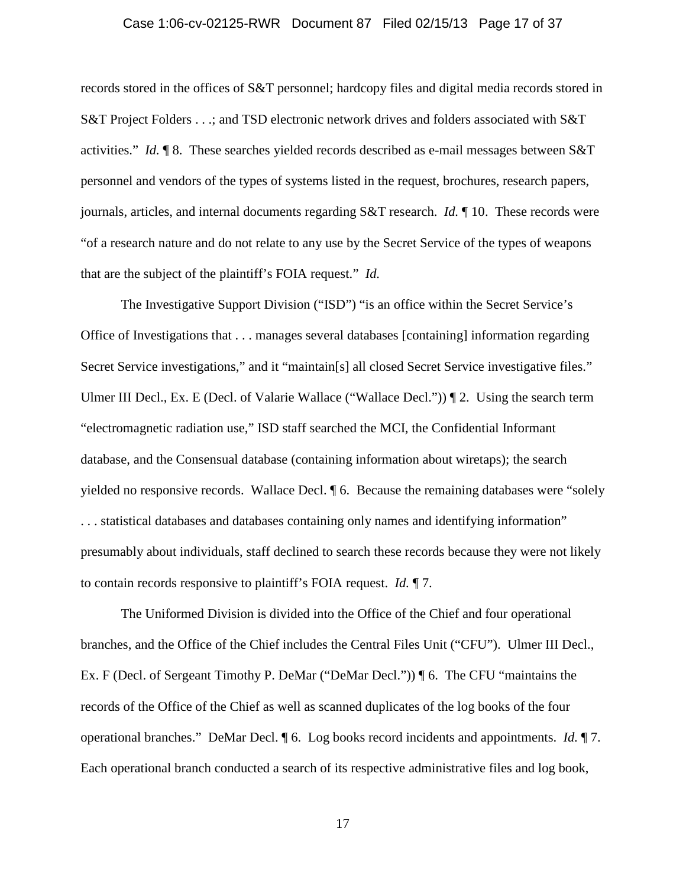### Case 1:06-cv-02125-RWR Document 87 Filed 02/15/13 Page 17 of 37

records stored in the offices of S&T personnel; hardcopy files and digital media records stored in S&T Project Folders . . .; and TSD electronic network drives and folders associated with S&T activities." *Id.* ¶ 8. These searches yielded records described as e-mail messages between S&T personnel and vendors of the types of systems listed in the request, brochures, research papers, journals, articles, and internal documents regarding S&T research. *Id.* ¶ 10. These records were "of a research nature and do not relate to any use by the Secret Service of the types of weapons that are the subject of the plaintiff's FOIA request." *Id.*

The Investigative Support Division ("ISD") "is an office within the Secret Service's Office of Investigations that . . . manages several databases [containing] information regarding Secret Service investigations," and it "maintain[s] all closed Secret Service investigative files." Ulmer III Decl., Ex. E (Decl. of Valarie Wallace ("Wallace Decl."))  $\P$  2. Using the search term "electromagnetic radiation use," ISD staff searched the MCI, the Confidential Informant database, and the Consensual database (containing information about wiretaps); the search yielded no responsive records. Wallace Decl. ¶ 6. Because the remaining databases were "solely . . . statistical databases and databases containing only names and identifying information" presumably about individuals, staff declined to search these records because they were not likely to contain records responsive to plaintiff's FOIA request. *Id.* ¶ 7.

The Uniformed Division is divided into the Office of the Chief and four operational branches, and the Office of the Chief includes the Central Files Unit ("CFU"). Ulmer III Decl., Ex. F (Decl. of Sergeant Timothy P. DeMar ("DeMar Decl.")) ¶ 6. The CFU "maintains the records of the Office of the Chief as well as scanned duplicates of the log books of the four operational branches." DeMar Decl. ¶ 6. Log books record incidents and appointments. *Id.* ¶ 7. Each operational branch conducted a search of its respective administrative files and log book,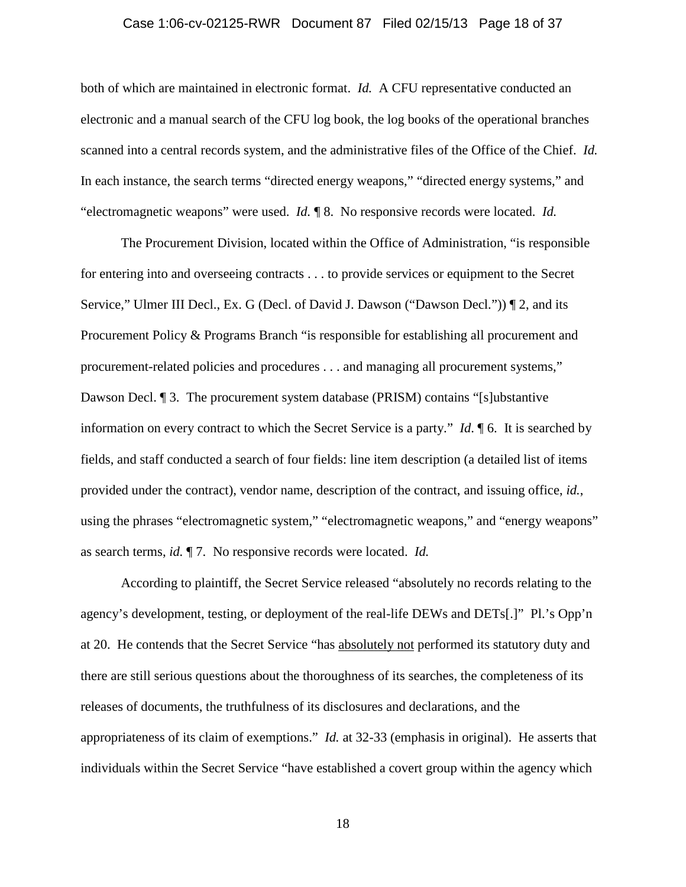### Case 1:06-cv-02125-RWR Document 87 Filed 02/15/13 Page 18 of 37

both of which are maintained in electronic format. *Id.* A CFU representative conducted an electronic and a manual search of the CFU log book, the log books of the operational branches scanned into a central records system, and the administrative files of the Office of the Chief. *Id.* In each instance, the search terms "directed energy weapons," "directed energy systems," and "electromagnetic weapons" were used. *Id.* ¶ 8. No responsive records were located. *Id.*

The Procurement Division, located within the Office of Administration, "is responsible for entering into and overseeing contracts . . . to provide services or equipment to the Secret Service," Ulmer III Decl., Ex. G (Decl. of David J. Dawson ("Dawson Decl.")) ¶ 2, and its Procurement Policy & Programs Branch "is responsible for establishing all procurement and procurement-related policies and procedures . . . and managing all procurement systems," Dawson Decl. ¶ 3. The procurement system database (PRISM) contains "[s]ubstantive information on every contract to which the Secret Service is a party." *Id*. ¶ 6. It is searched by fields, and staff conducted a search of four fields: line item description (a detailed list of items provided under the contract), vendor name, description of the contract, and issuing office, *id.*, using the phrases "electromagnetic system," "electromagnetic weapons," and "energy weapons" as search terms, *id.* ¶ 7. No responsive records were located. *Id.*

According to plaintiff, the Secret Service released "absolutely no records relating to the agency's development, testing, or deployment of the real-life DEWs and DETs[.]" Pl.'s Opp'n at 20. He contends that the Secret Service "has absolutely not performed its statutory duty and there are still serious questions about the thoroughness of its searches, the completeness of its releases of documents, the truthfulness of its disclosures and declarations, and the appropriateness of its claim of exemptions." *Id.* at 32-33 (emphasis in original). He asserts that individuals within the Secret Service "have established a covert group within the agency which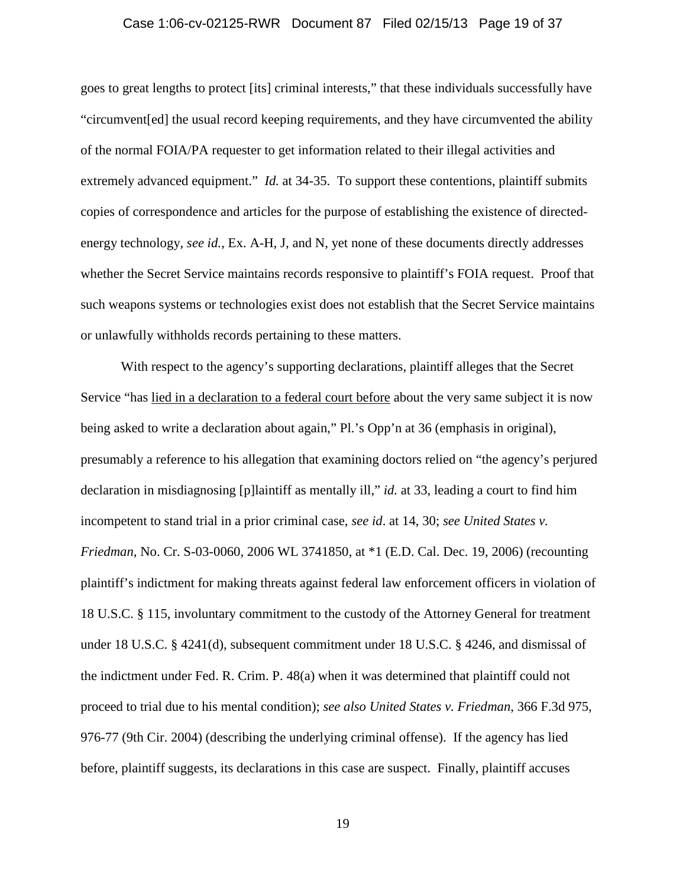#### Case 1:06-cv-02125-RWR Document 87 Filed 02/15/13 Page 19 of 37

goes to great lengths to protect [its] criminal interests," that these individuals successfully have "circumvent[ed] the usual record keeping requirements, and they have circumvented the ability of the normal FOIA/PA requester to get information related to their illegal activities and extremely advanced equipment." *Id.* at 34-35. To support these contentions, plaintiff submits copies of correspondence and articles for the purpose of establishing the existence of directedenergy technology, *see id.*, Ex. A-H, J, and N, yet none of these documents directly addresses whether the Secret Service maintains records responsive to plaintiff's FOIA request. Proof that such weapons systems or technologies exist does not establish that the Secret Service maintains or unlawfully withholds records pertaining to these matters.

With respect to the agency's supporting declarations, plaintiff alleges that the Secret Service "has lied in a declaration to a federal court before about the very same subject it is now being asked to write a declaration about again," Pl.'s Opp'n at 36 (emphasis in original), presumably a reference to his allegation that examining doctors relied on "the agency's perjured declaration in misdiagnosing [p]laintiff as mentally ill," *id.* at 33, leading a court to find him incompetent to stand trial in a prior criminal case, *see id*. at 14, 30; *see United States v. Friedman*, No. Cr. S-03-0060, 2006 WL 3741850, at \*1 (E.D. Cal. Dec. 19, 2006) (recounting plaintiff's indictment for making threats against federal law enforcement officers in violation of 18 U.S.C. § 115, involuntary commitment to the custody of the Attorney General for treatment under 18 U.S.C. § 4241(d), subsequent commitment under 18 U.S.C. § 4246, and dismissal of the indictment under Fed. R. Crim. P. 48(a) when it was determined that plaintiff could not proceed to trial due to his mental condition); *see also United States v. Friedman*, 366 F.3d 975, 976-77 (9th Cir. 2004) (describing the underlying criminal offense). If the agency has lied before, plaintiff suggests, its declarations in this case are suspect. Finally, plaintiff accuses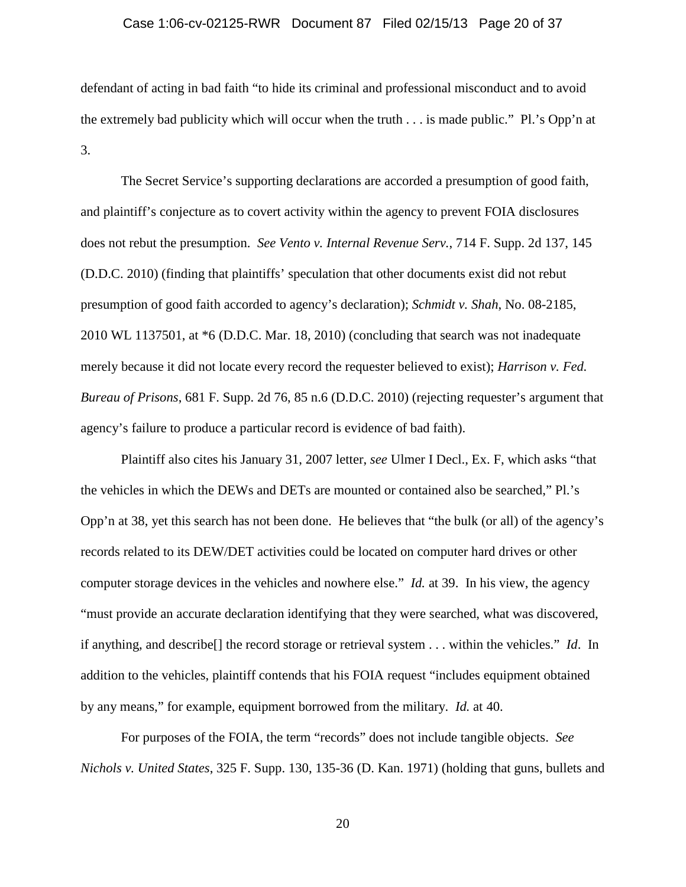# Case 1:06-cv-02125-RWR Document 87 Filed 02/15/13 Page 20 of 37

defendant of acting in bad faith "to hide its criminal and professional misconduct and to avoid the extremely bad publicity which will occur when the truth . . . is made public." Pl.'s Opp'n at 3.

The Secret Service's supporting declarations are accorded a presumption of good faith, and plaintiff's conjecture as to covert activity within the agency to prevent FOIA disclosures does not rebut the presumption. *See Vento v. Internal Revenue Serv.*, 714 F. Supp. 2d 137, 145 (D.D.C. 2010) (finding that plaintiffs' speculation that other documents exist did not rebut presumption of good faith accorded to agency's declaration); *Schmidt v. Shah*, No. 08-2185, 2010 WL 1137501, at \*6 (D.D.C. Mar. 18, 2010) (concluding that search was not inadequate merely because it did not locate every record the requester believed to exist); *Harrison v. Fed. Bureau of Prisons*, 681 F. Supp. 2d 76, 85 n.6 (D.D.C. 2010) (rejecting requester's argument that agency's failure to produce a particular record is evidence of bad faith).

Plaintiff also cites his January 31, 2007 letter, *see* Ulmer I Decl., Ex. F, which asks "that the vehicles in which the DEWs and DETs are mounted or contained also be searched," Pl.'s Opp'n at 38, yet this search has not been done. He believes that "the bulk (or all) of the agency's records related to its DEW/DET activities could be located on computer hard drives or other computer storage devices in the vehicles and nowhere else." *Id.* at 39. In his view, the agency "must provide an accurate declaration identifying that they were searched, what was discovered, if anything, and describe[] the record storage or retrieval system . . . within the vehicles." *Id*. In addition to the vehicles, plaintiff contends that his FOIA request "includes equipment obtained by any means," for example, equipment borrowed from the military. *Id.* at 40.

For purposes of the FOIA, the term "records" does not include tangible objects. *See Nichols v. United States*, 325 F. Supp. 130, 135-36 (D. Kan. 1971) (holding that guns, bullets and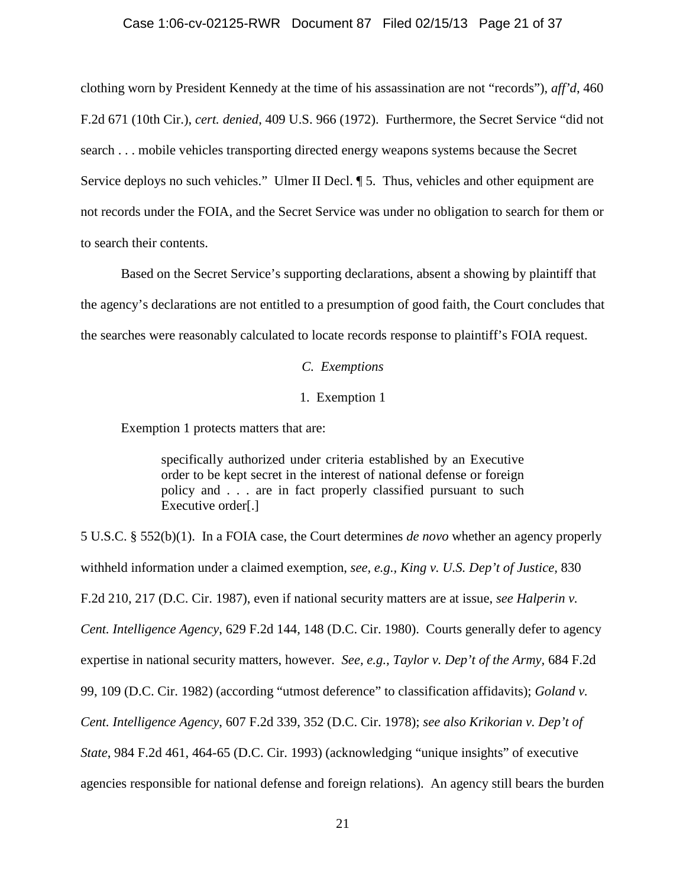#### Case 1:06-cv-02125-RWR Document 87 Filed 02/15/13 Page 21 of 37

clothing worn by President Kennedy at the time of his assassination are not "records"), *aff'd*, 460 F.2d 671 (10th Cir.), *cert. denied*, 409 U.S. 966 (1972). Furthermore, the Secret Service "did not search . . . mobile vehicles transporting directed energy weapons systems because the Secret Service deploys no such vehicles." Ulmer II Decl.  $\P$  5. Thus, vehicles and other equipment are not records under the FOIA, and the Secret Service was under no obligation to search for them or to search their contents.

Based on the Secret Service's supporting declarations, absent a showing by plaintiff that the agency's declarations are not entitled to a presumption of good faith, the Court concludes that the searches were reasonably calculated to locate records response to plaintiff's FOIA request.

*C. Exemptions*

# 1. Exemption 1

Exemption 1 protects matters that are:

specifically authorized under criteria established by an Executive order to be kept secret in the interest of national defense or foreign policy and . . . are in fact properly classified pursuant to such Executive order[.]

5 U.S.C. § 552(b)(1). In a FOIA case, the Court determines *de novo* whether an agency properly withheld information under a claimed exemption, *see, e.g., King v. U.S. Dep't of Justice,* 830 F.2d 210, 217 (D.C. Cir. 1987), even if national security matters are at issue, *see Halperin v. Cent. Intelligence Agency*, 629 F.2d 144, 148 (D.C. Cir. 1980). Courts generally defer to agency expertise in national security matters, however. *See, e.g., Taylor v. Dep't of the Army,* 684 F.2d 99, 109 (D.C. Cir. 1982) (according "utmost deference" to classification affidavits); *Goland v. Cent. Intelligence Agency*, 607 F.2d 339, 352 (D.C. Cir. 1978); *see also Krikorian v. Dep't of State*, 984 F.2d 461, 464-65 (D.C. Cir. 1993) (acknowledging "unique insights" of executive agencies responsible for national defense and foreign relations). An agency still bears the burden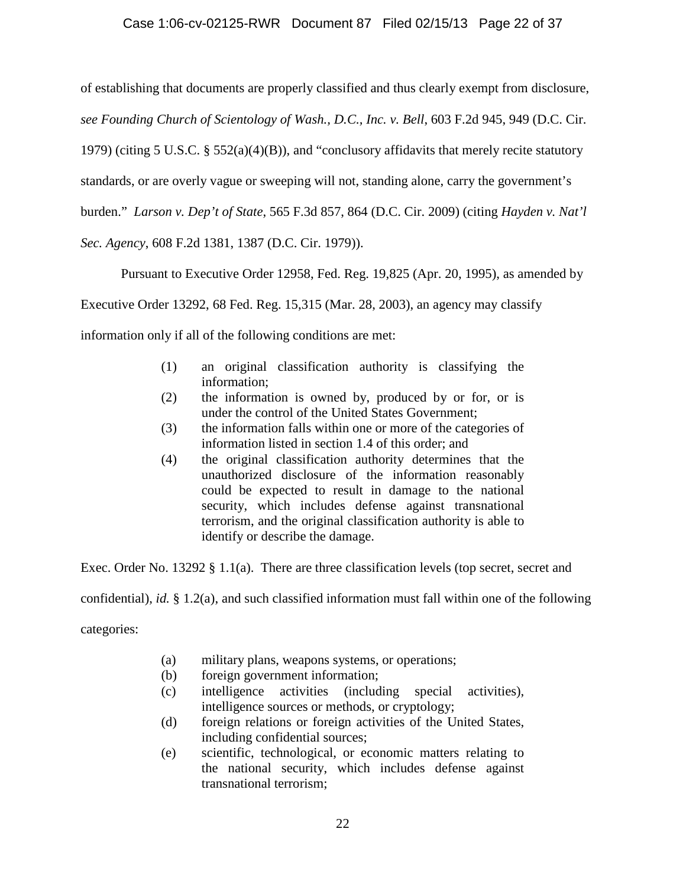# Case 1:06-cv-02125-RWR Document 87 Filed 02/15/13 Page 22 of 37

of establishing that documents are properly classified and thus clearly exempt from disclosure, *see Founding Church of Scientology of Wash., D.C., Inc. v. Bell*, 603 F.2d 945, 949 (D.C. Cir. 1979) (citing 5 U.S.C. § 552(a)(4)(B)), and "conclusory affidavits that merely recite statutory standards, or are overly vague or sweeping will not, standing alone, carry the government's burden." *Larson v. Dep't of State*, 565 F.3d 857, 864 (D.C. Cir. 2009) (citing *Hayden v. Nat'l Sec. Agency*, 608 F.2d 1381, 1387 (D.C. Cir. 1979)).

Pursuant to Executive Order 12958, Fed. Reg. 19,825 (Apr. 20, 1995), as amended by

Executive Order 13292, 68 Fed. Reg. 15,315 (Mar. 28, 2003), an agency may classify

information only if all of the following conditions are met:

- (1) an original classification authority is classifying the information;
- (2) the information is owned by, produced by or for, or is under the control of the United States Government;
- (3) the information falls within one or more of the categories of information listed in section 1.4 of this order; and
- (4) the original classification authority determines that the unauthorized disclosure of the information reasonably could be expected to result in damage to the national security, which includes defense against transnational terrorism, and the original classification authority is able to identify or describe the damage.

Exec. Order No. 13292 § 1.1(a). There are three classification levels (top secret, secret and

confidential), *id.* § 1.2(a), and such classified information must fall within one of the following

categories:

- (a) military plans, weapons systems, or operations;
- (b) foreign government information;
- (c) intelligence activities (including special activities), intelligence sources or methods, or cryptology;
- (d) foreign relations or foreign activities of the United States, including confidential sources;
- (e) scientific, technological, or economic matters relating to the national security, which includes defense against transnational terrorism;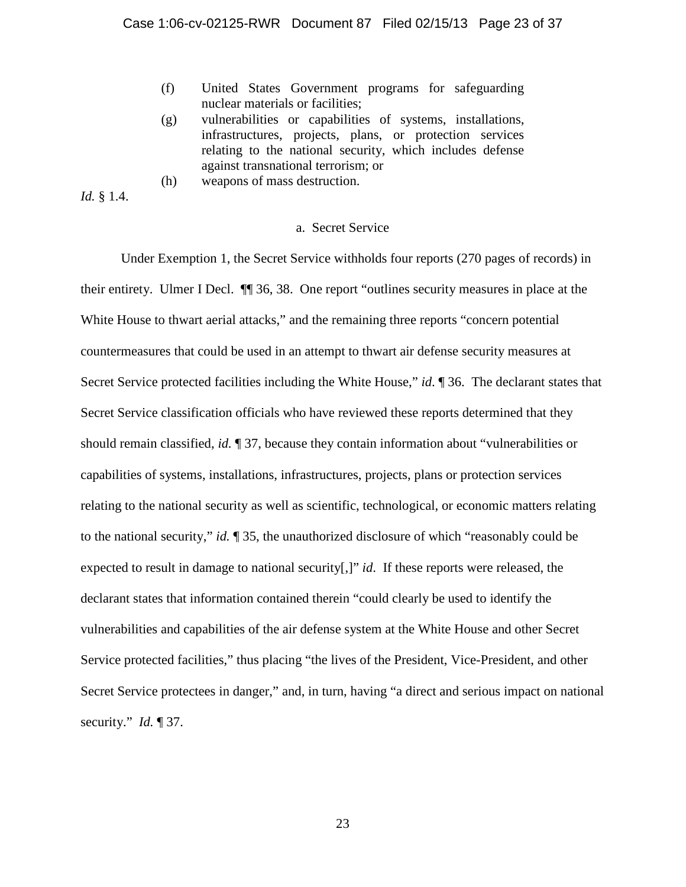- (f) United States Government programs for safeguarding nuclear materials or facilities;
- (g) vulnerabilities or capabilities of systems, installations, infrastructures, projects, plans, or protection services relating to the national security, which includes defense against transnational terrorism; or
- (h) weapons of mass destruction.

*Id.* § 1.4.

### a. Secret Service

Under Exemption 1, the Secret Service withholds four reports (270 pages of records) in their entirety. Ulmer I Decl. ¶¶ 36, 38. One report "outlines security measures in place at the White House to thwart aerial attacks," and the remaining three reports "concern potential countermeasures that could be used in an attempt to thwart air defense security measures at Secret Service protected facilities including the White House," *id*. ¶ 36. The declarant states that Secret Service classification officials who have reviewed these reports determined that they should remain classified, *id.* ¶ 37, because they contain information about "vulnerabilities or capabilities of systems, installations, infrastructures, projects, plans or protection services relating to the national security as well as scientific, technological, or economic matters relating to the national security," *id.* ¶ 35, the unauthorized disclosure of which "reasonably could be expected to result in damage to national security[,]" *id*. If these reports were released, the declarant states that information contained therein "could clearly be used to identify the vulnerabilities and capabilities of the air defense system at the White House and other Secret Service protected facilities," thus placing "the lives of the President, Vice-President, and other Secret Service protectees in danger," and, in turn, having "a direct and serious impact on national security." *Id.* ¶ 37.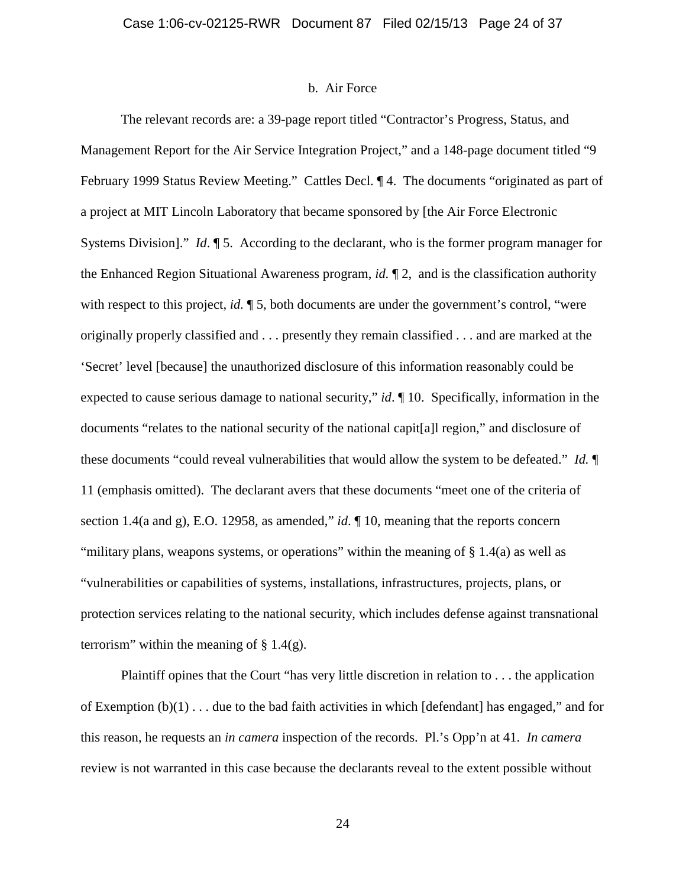#### b. Air Force

The relevant records are: a 39-page report titled "Contractor's Progress, Status, and Management Report for the Air Service Integration Project," and a 148-page document titled "9 February 1999 Status Review Meeting." Cattles Decl. ¶ 4. The documents "originated as part of a project at MIT Lincoln Laboratory that became sponsored by [the Air Force Electronic Systems Division]." *Id*. ¶ 5. According to the declarant, who is the former program manager for the Enhanced Region Situational Awareness program, *id.* ¶ 2, and is the classification authority with respect to this project, *id.*  $\sqrt{ }$  5, both documents are under the government's control, "were originally properly classified and . . . presently they remain classified . . . and are marked at the 'Secret' level [because] the unauthorized disclosure of this information reasonably could be expected to cause serious damage to national security," *id*. ¶ 10. Specifically, information in the documents "relates to the national security of the national capit[a]l region," and disclosure of these documents "could reveal vulnerabilities that would allow the system to be defeated." *Id.* ¶ 11 (emphasis omitted). The declarant avers that these documents "meet one of the criteria of section 1.4(a and g), E.O. 12958, as amended," *id*. ¶ 10, meaning that the reports concern "military plans, weapons systems, or operations" within the meaning of § 1.4(a) as well as "vulnerabilities or capabilities of systems, installations, infrastructures, projects, plans, or protection services relating to the national security, which includes defense against transnational terrorism" within the meaning of  $\S 1.4(g)$ .

Plaintiff opines that the Court "has very little discretion in relation to . . . the application of Exemption  $(b)(1)$ ... due to the bad faith activities in which [defendant] has engaged," and for this reason, he requests an *in camera* inspection of the records. Pl.'s Opp'n at 41. *In camera* review is not warranted in this case because the declarants reveal to the extent possible without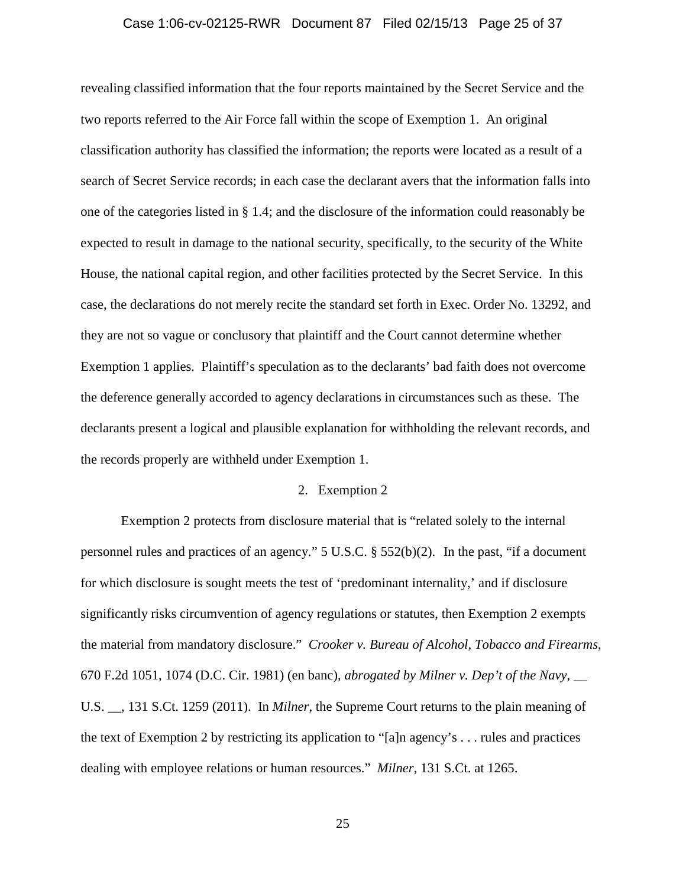### Case 1:06-cv-02125-RWR Document 87 Filed 02/15/13 Page 25 of 37

revealing classified information that the four reports maintained by the Secret Service and the two reports referred to the Air Force fall within the scope of Exemption 1. An original classification authority has classified the information; the reports were located as a result of a search of Secret Service records; in each case the declarant avers that the information falls into one of the categories listed in § 1.4; and the disclosure of the information could reasonably be expected to result in damage to the national security, specifically, to the security of the White House, the national capital region, and other facilities protected by the Secret Service. In this case, the declarations do not merely recite the standard set forth in Exec. Order No. 13292, and they are not so vague or conclusory that plaintiff and the Court cannot determine whether Exemption 1 applies. Plaintiff's speculation as to the declarants' bad faith does not overcome the deference generally accorded to agency declarations in circumstances such as these. The declarants present a logical and plausible explanation for withholding the relevant records, and the records properly are withheld under Exemption 1.

# 2. Exemption 2

Exemption 2 protects from disclosure material that is "related solely to the internal personnel rules and practices of an agency." 5 U.S.C. § 552(b)(2). In the past, "if a document for which disclosure is sought meets the test of 'predominant internality,' and if disclosure significantly risks circumvention of agency regulations or statutes, then Exemption 2 exempts the material from mandatory disclosure." *Crooker v. Bureau of Alcohol, Tobacco and Firearms*, 670 F.2d 1051, 1074 (D.C. Cir. 1981) (en banc), *abrogated by Milner v. Dep't of the Navy*, \_\_ U.S. \_\_, 131 S.Ct. 1259 (2011). In *Milner*, the Supreme Court returns to the plain meaning of the text of Exemption 2 by restricting its application to "[a]n agency's . . . rules and practices dealing with employee relations or human resources." *Milner*, 131 S.Ct. at 1265.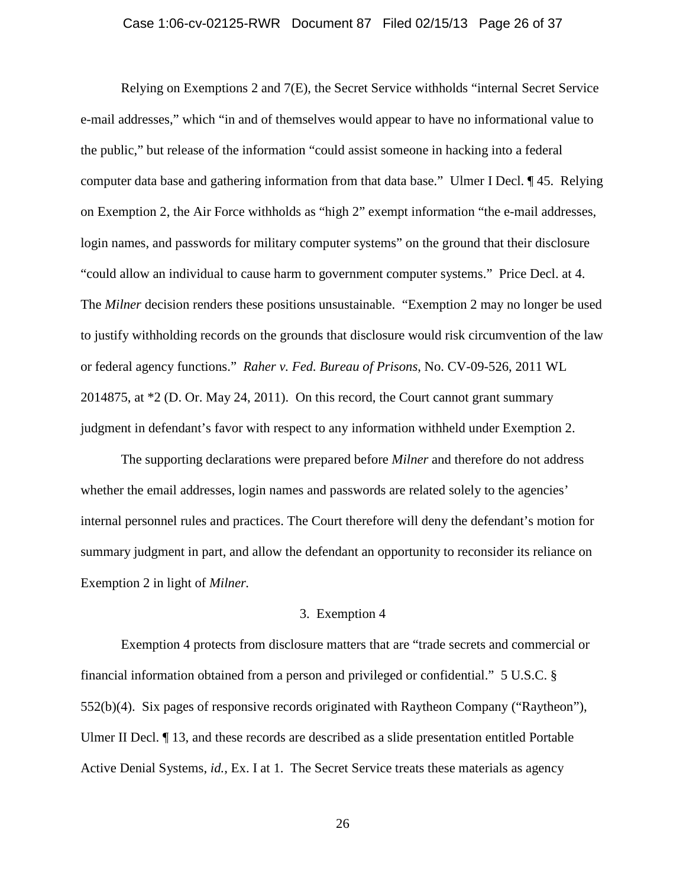### Case 1:06-cv-02125-RWR Document 87 Filed 02/15/13 Page 26 of 37

Relying on Exemptions 2 and 7(E), the Secret Service withholds "internal Secret Service e-mail addresses," which "in and of themselves would appear to have no informational value to the public," but release of the information "could assist someone in hacking into a federal computer data base and gathering information from that data base." Ulmer I Decl. ¶ 45. Relying on Exemption 2, the Air Force withholds as "high 2" exempt information "the e-mail addresses, login names, and passwords for military computer systems" on the ground that their disclosure "could allow an individual to cause harm to government computer systems." Price Decl. at 4. The *Milner* decision renders these positions unsustainable. "Exemption 2 may no longer be used to justify withholding records on the grounds that disclosure would risk circumvention of the law or federal agency functions." *Raher v. Fed. Bureau of Prisons*, No. CV-09-526, 2011 WL 2014875, at \*2 (D. Or. May 24, 2011). On this record, the Court cannot grant summary judgment in defendant's favor with respect to any information withheld under Exemption 2.

The supporting declarations were prepared before *Milner* and therefore do not address whether the email addresses, login names and passwords are related solely to the agencies' internal personnel rules and practices. The Court therefore will deny the defendant's motion for summary judgment in part, and allow the defendant an opportunity to reconsider its reliance on Exemption 2 in light of *Milner.*

## 3. Exemption 4

Exemption 4 protects from disclosure matters that are "trade secrets and commercial or financial information obtained from a person and privileged or confidential." 5 U.S.C. § 552(b)(4). Six pages of responsive records originated with Raytheon Company ("Raytheon"), Ulmer II Decl. ¶ 13, and these records are described as a slide presentation entitled Portable Active Denial Systems, *id.*, Ex. I at 1. The Secret Service treats these materials as agency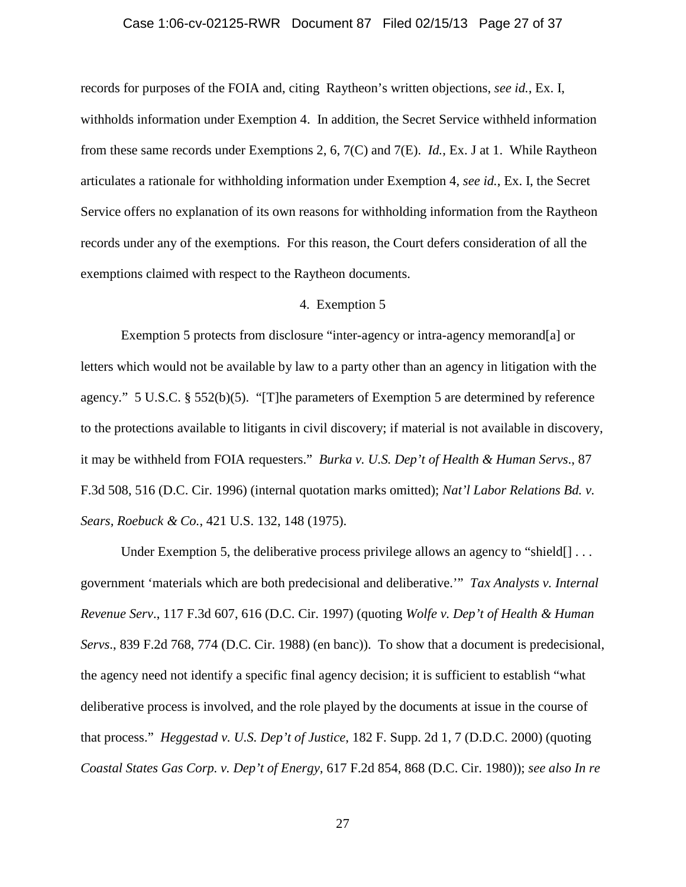#### Case 1:06-cv-02125-RWR Document 87 Filed 02/15/13 Page 27 of 37

records for purposes of the FOIA and, citing Raytheon's written objections, *see id.*, Ex. I, withholds information under Exemption 4. In addition, the Secret Service withheld information from these same records under Exemptions 2, 6, 7(C) and 7(E). *Id.*, Ex. J at 1. While Raytheon articulates a rationale for withholding information under Exemption 4, *see id.*, Ex. I, the Secret Service offers no explanation of its own reasons for withholding information from the Raytheon records under any of the exemptions. For this reason, the Court defers consideration of all the exemptions claimed with respect to the Raytheon documents.

# 4. Exemption 5

Exemption 5 protects from disclosure "inter-agency or intra-agency memorand[a] or letters which would not be available by law to a party other than an agency in litigation with the agency." 5 U.S.C. § 552(b)(5). "[T]he parameters of Exemption 5 are determined by reference to the protections available to litigants in civil discovery; if material is not available in discovery, it may be withheld from FOIA requesters." *Burka v. U.S. Dep't of Health & Human Servs*., 87 F.3d 508, 516 (D.C. Cir. 1996) (internal quotation marks omitted); *Nat'l Labor Relations Bd. v. Sears, Roebuck & Co.*, 421 U.S. 132, 148 (1975).

Under Exemption 5, the deliberative process privilege allows an agency to "shield $[] \dots$ government 'materials which are both predecisional and deliberative.'" *Tax Analysts v. Internal Revenue Serv*., 117 F.3d 607, 616 (D.C. Cir. 1997) (quoting *Wolfe v. Dep't of Health & Human Servs*., 839 F.2d 768, 774 (D.C. Cir. 1988) (en banc)). To show that a document is predecisional, the agency need not identify a specific final agency decision; it is sufficient to establish "what deliberative process is involved, and the role played by the documents at issue in the course of that process." *Heggestad v. U.S. Dep't of Justice*, 182 F. Supp. 2d 1, 7 (D.D.C. 2000) (quoting *Coastal States Gas Corp. v. Dep't of Energy*, 617 F.2d 854, 868 (D.C. Cir. 1980)); *see also In re*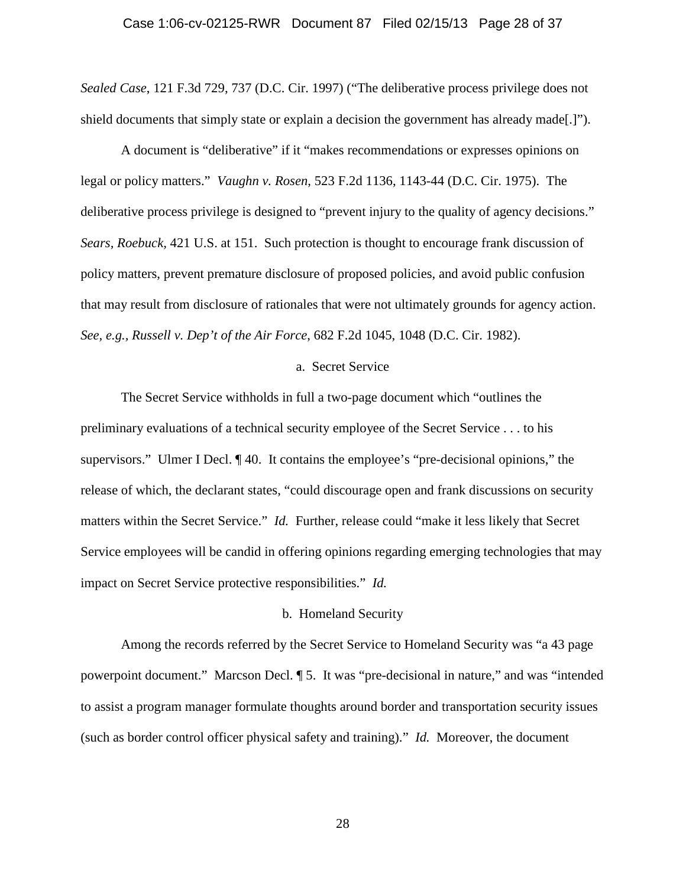#### Case 1:06-cv-02125-RWR Document 87 Filed 02/15/13 Page 28 of 37

*Sealed Case*, 121 F.3d 729, 737 (D.C. Cir. 1997) ("The deliberative process privilege does not shield documents that simply state or explain a decision the government has already made[.]").

A document is "deliberative" if it "makes recommendations or expresses opinions on legal or policy matters." *Vaughn v. Rosen*, 523 F.2d 1136, 1143-44 (D.C. Cir. 1975). The deliberative process privilege is designed to "prevent injury to the quality of agency decisions." *Sears, Roebuck,* 421 U.S. at 151. Such protection is thought to encourage frank discussion of policy matters, prevent premature disclosure of proposed policies, and avoid public confusion that may result from disclosure of rationales that were not ultimately grounds for agency action. *See, e.g., Russell v. Dep't of the Air Force*, 682 F.2d 1045, 1048 (D.C. Cir. 1982).

### a. Secret Service

The Secret Service withholds in full a two-page document which "outlines the preliminary evaluations of a technical security employee of the Secret Service . . . to his supervisors." Ulmer I Decl. ¶ 40. It contains the employee's "pre-decisional opinions," the release of which, the declarant states, "could discourage open and frank discussions on security matters within the Secret Service." *Id.* Further, release could "make it less likely that Secret Service employees will be candid in offering opinions regarding emerging technologies that may impact on Secret Service protective responsibilities." *Id.*

#### b. Homeland Security

Among the records referred by the Secret Service to Homeland Security was "a 43 page powerpoint document." Marcson Decl. ¶ 5. It was "pre-decisional in nature," and was "intended to assist a program manager formulate thoughts around border and transportation security issues (such as border control officer physical safety and training)." *Id.* Moreover, the document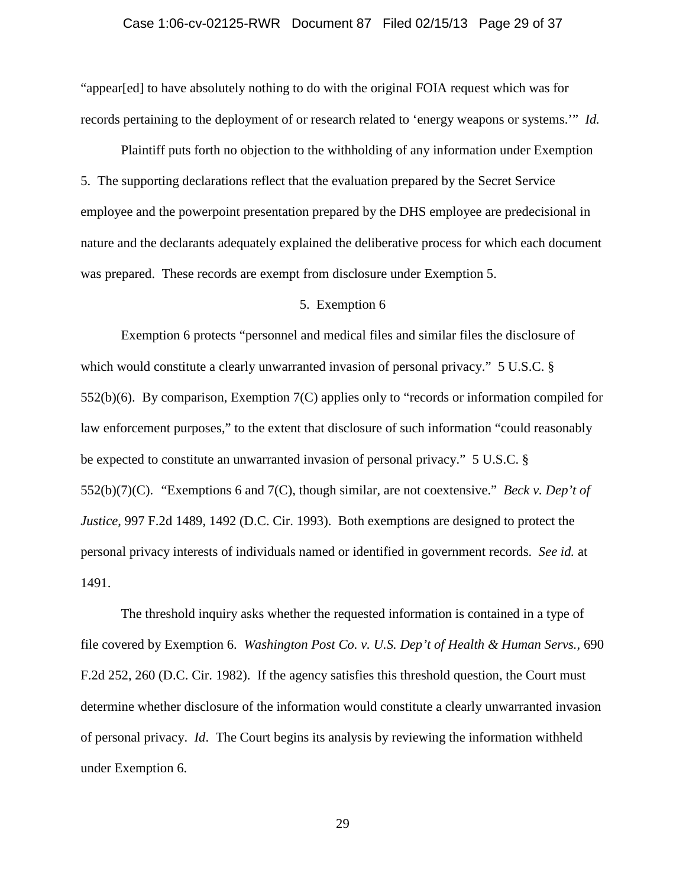# Case 1:06-cv-02125-RWR Document 87 Filed 02/15/13 Page 29 of 37

"appear[ed] to have absolutely nothing to do with the original FOIA request which was for records pertaining to the deployment of or research related to 'energy weapons or systems.'" *Id.*

Plaintiff puts forth no objection to the withholding of any information under Exemption 5. The supporting declarations reflect that the evaluation prepared by the Secret Service employee and the powerpoint presentation prepared by the DHS employee are predecisional in nature and the declarants adequately explained the deliberative process for which each document was prepared. These records are exempt from disclosure under Exemption 5.

# 5. Exemption 6

Exemption 6 protects "personnel and medical files and similar files the disclosure of which would constitute a clearly unwarranted invasion of personal privacy." 5 U.S.C. § 552(b)(6). By comparison, Exemption 7(C) applies only to "records or information compiled for law enforcement purposes," to the extent that disclosure of such information "could reasonably be expected to constitute an unwarranted invasion of personal privacy." 5 U.S.C. § 552(b)(7)(C). "Exemptions 6 and 7(C), though similar, are not coextensive." *Beck v. Dep't of Justice*, 997 F.2d 1489, 1492 (D.C. Cir. 1993). Both exemptions are designed to protect the personal privacy interests of individuals named or identified in government records. *See id.* at 1491.

The threshold inquiry asks whether the requested information is contained in a type of file covered by Exemption 6. *Washington Post Co. v. U.S. Dep't of Health & Human Servs.,* 690 F.2d 252, 260 (D.C. Cir. 1982). If the agency satisfies this threshold question, the Court must determine whether disclosure of the information would constitute a clearly unwarranted invasion of personal privacy. *Id*. The Court begins its analysis by reviewing the information withheld under Exemption 6.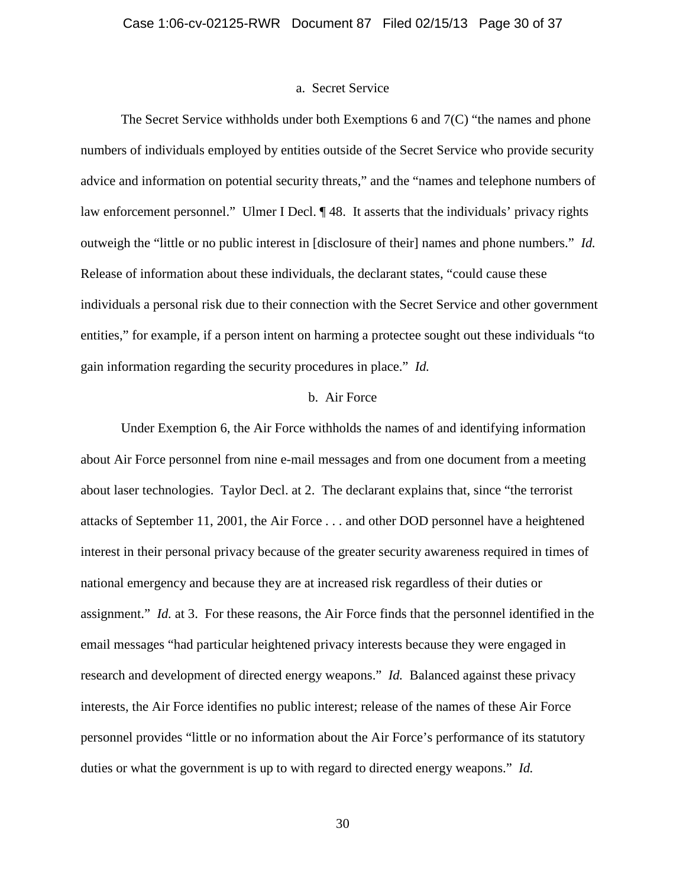#### a. Secret Service

The Secret Service withholds under both Exemptions 6 and 7(C) "the names and phone numbers of individuals employed by entities outside of the Secret Service who provide security advice and information on potential security threats," and the "names and telephone numbers of law enforcement personnel." Ulmer I Decl. ¶ 48. It asserts that the individuals' privacy rights outweigh the "little or no public interest in [disclosure of their] names and phone numbers." *Id.* Release of information about these individuals, the declarant states, "could cause these individuals a personal risk due to their connection with the Secret Service and other government entities," for example, if a person intent on harming a protectee sought out these individuals "to gain information regarding the security procedures in place." *Id.*

## b. Air Force

Under Exemption 6, the Air Force withholds the names of and identifying information about Air Force personnel from nine e-mail messages and from one document from a meeting about laser technologies. Taylor Decl. at 2. The declarant explains that, since "the terrorist attacks of September 11, 2001, the Air Force . . . and other DOD personnel have a heightened interest in their personal privacy because of the greater security awareness required in times of national emergency and because they are at increased risk regardless of their duties or assignment." *Id.* at 3. For these reasons, the Air Force finds that the personnel identified in the email messages "had particular heightened privacy interests because they were engaged in research and development of directed energy weapons." *Id.* Balanced against these privacy interests, the Air Force identifies no public interest; release of the names of these Air Force personnel provides "little or no information about the Air Force's performance of its statutory duties or what the government is up to with regard to directed energy weapons." *Id.*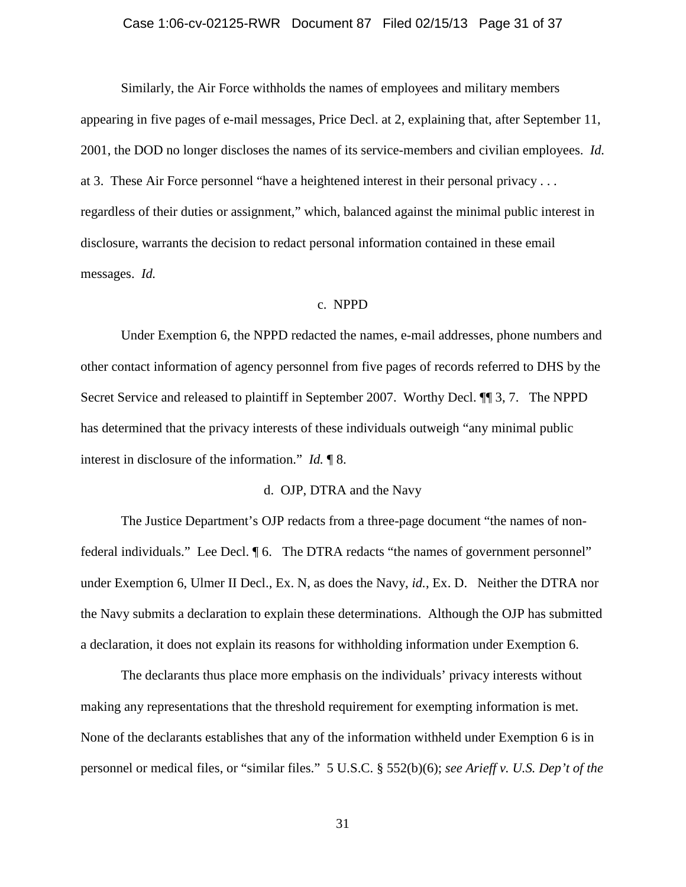### Case 1:06-cv-02125-RWR Document 87 Filed 02/15/13 Page 31 of 37

Similarly, the Air Force withholds the names of employees and military members appearing in five pages of e-mail messages, Price Decl. at 2, explaining that, after September 11, 2001, the DOD no longer discloses the names of its service-members and civilian employees. *Id.* at 3. These Air Force personnel "have a heightened interest in their personal privacy . . . regardless of their duties or assignment," which, balanced against the minimal public interest in disclosure, warrants the decision to redact personal information contained in these email messages. *Id.*

### c. NPPD

Under Exemption 6, the NPPD redacted the names, e-mail addresses, phone numbers and other contact information of agency personnel from five pages of records referred to DHS by the Secret Service and released to plaintiff in September 2007. Worthy Decl. ¶¶ 3, 7. The NPPD has determined that the privacy interests of these individuals outweigh "any minimal public interest in disclosure of the information." *Id.* ¶ 8.

# d. OJP, DTRA and the Navy

The Justice Department's OJP redacts from a three-page document "the names of nonfederal individuals." Lee Decl. ¶ 6. The DTRA redacts "the names of government personnel" under Exemption 6, Ulmer II Decl., Ex. N, as does the Navy, *id.*, Ex. D. Neither the DTRA nor the Navy submits a declaration to explain these determinations. Although the OJP has submitted a declaration, it does not explain its reasons for withholding information under Exemption 6.

The declarants thus place more emphasis on the individuals' privacy interests without making any representations that the threshold requirement for exempting information is met. None of the declarants establishes that any of the information withheld under Exemption 6 is in personnel or medical files, or "similar files." 5 U.S.C. § 552(b)(6); *see Arieff v. U.S. Dep't of the*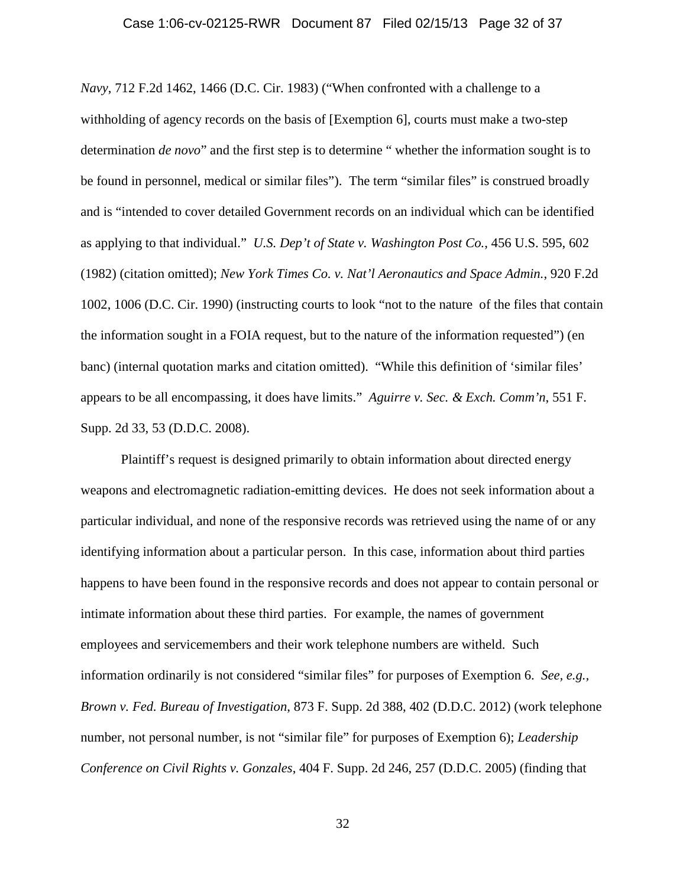#### Case 1:06-cv-02125-RWR Document 87 Filed 02/15/13 Page 32 of 37

*Navy*, 712 F.2d 1462, 1466 (D.C. Cir. 1983) ("When confronted with a challenge to a withholding of agency records on the basis of [Exemption 6], courts must make a two-step determination *de novo*" and the first step is to determine " whether the information sought is to be found in personnel, medical or similar files"). The term "similar files" is construed broadly and is "intended to cover detailed Government records on an individual which can be identified as applying to that individual." *U.S. Dep't of State v. Washington Post Co.*, 456 U.S. 595, 602 (1982) (citation omitted); *New York Times Co. v. Nat'l Aeronautics and Space Admin.*, 920 F.2d 1002, 1006 (D.C. Cir. 1990) (instructing courts to look "not to the nature of the files that contain the information sought in a FOIA request, but to the nature of the information requested") (en banc) (internal quotation marks and citation omitted). "While this definition of 'similar files' appears to be all encompassing, it does have limits." *Aguirre v. Sec. & Exch. Comm'n*, 551 F. Supp. 2d 33, 53 (D.D.C. 2008).

Plaintiff's request is designed primarily to obtain information about directed energy weapons and electromagnetic radiation-emitting devices. He does not seek information about a particular individual, and none of the responsive records was retrieved using the name of or any identifying information about a particular person. In this case, information about third parties happens to have been found in the responsive records and does not appear to contain personal or intimate information about these third parties. For example, the names of government employees and servicemembers and their work telephone numbers are witheld. Such information ordinarily is not considered "similar files" for purposes of Exemption 6. *See, e.g., Brown v. Fed. Bureau of Investigation*, 873 F. Supp. 2d 388, 402 (D.D.C. 2012) (work telephone number, not personal number, is not "similar file" for purposes of Exemption 6); *Leadership Conference on Civil Rights v. Gonzales*, 404 F. Supp. 2d 246, 257 (D.D.C. 2005) (finding that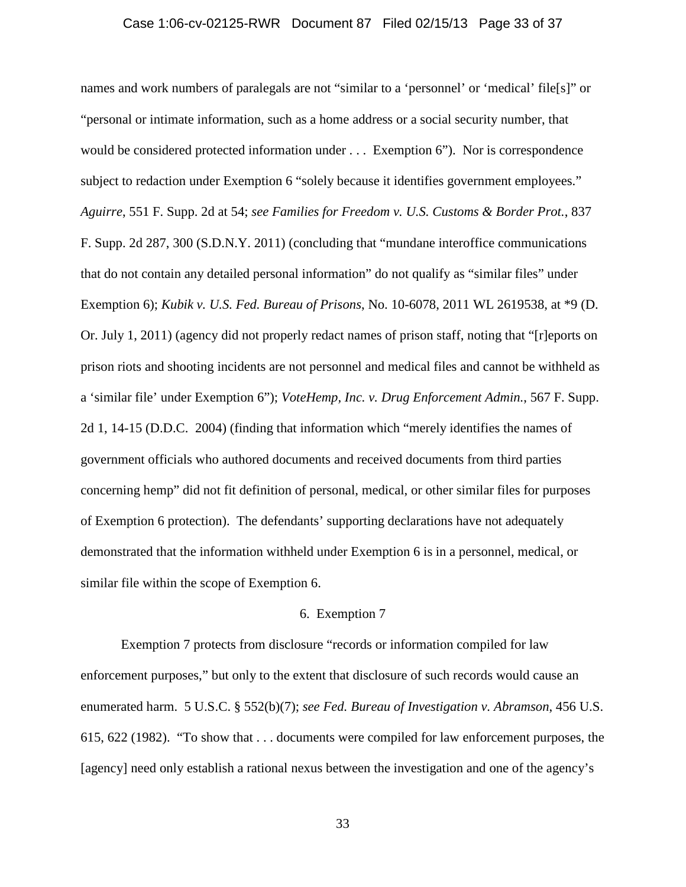# Case 1:06-cv-02125-RWR Document 87 Filed 02/15/13 Page 33 of 37

names and work numbers of paralegals are not "similar to a 'personnel' or 'medical' file[s]" or "personal or intimate information, such as a home address or a social security number, that would be considered protected information under . . . Exemption 6"). Nor is correspondence subject to redaction under Exemption 6 "solely because it identifies government employees." *Aguirre*, 551 F. Supp. 2d at 54; *see Families for Freedom v. U.S. Customs & Border Prot.*, 837 F. Supp. 2d 287, 300 (S.D.N.Y. 2011) (concluding that "mundane interoffice communications that do not contain any detailed personal information" do not qualify as "similar files" under Exemption 6); *Kubik v. U.S. Fed. Bureau of Prisons*, No. 10-6078, 2011 WL 2619538, at \*9 (D. Or. July 1, 2011) (agency did not properly redact names of prison staff, noting that "[r]eports on prison riots and shooting incidents are not personnel and medical files and cannot be withheld as a 'similar file' under Exemption 6"); *VoteHemp, Inc. v. Drug Enforcement Admin.*, 567 F. Supp. 2d 1, 14-15 (D.D.C. 2004) (finding that information which "merely identifies the names of government officials who authored documents and received documents from third parties concerning hemp" did not fit definition of personal, medical, or other similar files for purposes of Exemption 6 protection). The defendants' supporting declarations have not adequately demonstrated that the information withheld under Exemption 6 is in a personnel, medical, or similar file within the scope of Exemption 6.

#### 6. Exemption 7

Exemption 7 protects from disclosure "records or information compiled for law enforcement purposes," but only to the extent that disclosure of such records would cause an enumerated harm. 5 U.S.C. § 552(b)(7); *see Fed. Bureau of Investigation v. Abramson*, 456 U.S. 615, 622 (1982). "To show that . . . documents were compiled for law enforcement purposes, the [agency] need only establish a rational nexus between the investigation and one of the agency's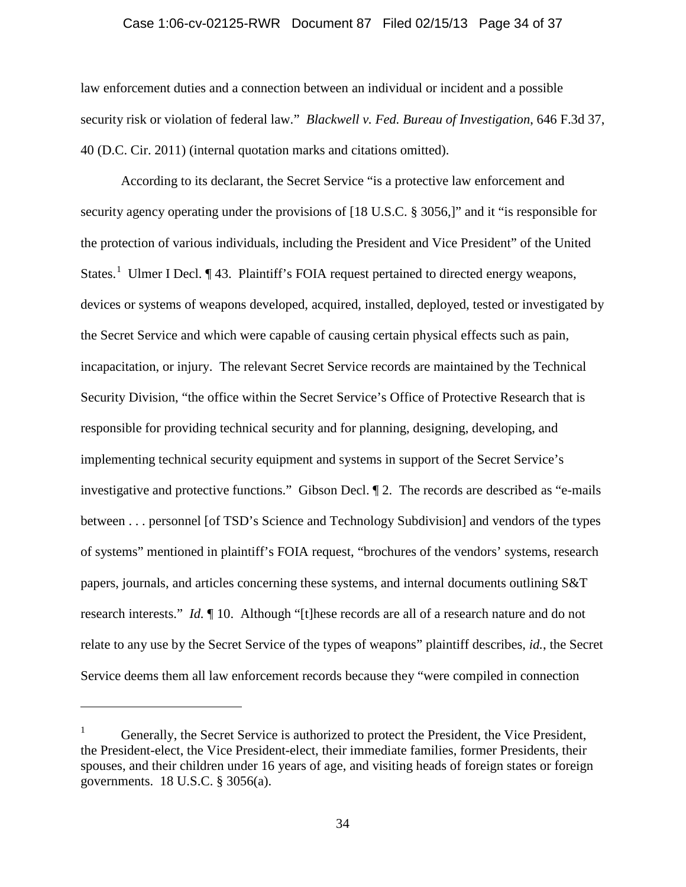#### Case 1:06-cv-02125-RWR Document 87 Filed 02/15/13 Page 34 of 37

law enforcement duties and a connection between an individual or incident and a possible security risk or violation of federal law." *Blackwell v. Fed. Bureau of Investigation*, 646 F.3d 37, 40 (D.C. Cir. 2011) (internal quotation marks and citations omitted).

According to its declarant, the Secret Service "is a protective law enforcement and security agency operating under the provisions of [18 U.S.C. § 3056,]" and it "is responsible for the protection of various individuals, including the President and Vice President" of the United States.<sup>[1](#page-33-0)</sup> Ulmer I Decl.  $\P$  43. Plaintiff's FOIA request pertained to directed energy weapons, devices or systems of weapons developed, acquired, installed, deployed, tested or investigated by the Secret Service and which were capable of causing certain physical effects such as pain, incapacitation, or injury. The relevant Secret Service records are maintained by the Technical Security Division, "the office within the Secret Service's Office of Protective Research that is responsible for providing technical security and for planning, designing, developing, and implementing technical security equipment and systems in support of the Secret Service's investigative and protective functions." Gibson Decl. ¶ 2. The records are described as "e-mails between . . . personnel [of TSD's Science and Technology Subdivision] and vendors of the types of systems" mentioned in plaintiff's FOIA request, "brochures of the vendors' systems, research papers, journals, and articles concerning these systems, and internal documents outlining S&T research interests." *Id.* ¶ 10. Although "[t]hese records are all of a research nature and do not relate to any use by the Secret Service of the types of weapons" plaintiff describes, *id.*, the Secret Service deems them all law enforcement records because they "were compiled in connection

 $\overline{a}$ 

<span id="page-33-0"></span><sup>1</sup> Generally, the Secret Service is authorized to protect the President, the Vice President, the President-elect, the Vice President-elect, their immediate families, former Presidents, their spouses, and their children under 16 years of age, and visiting heads of foreign states or foreign governments. 18 U.S.C. § 3056(a).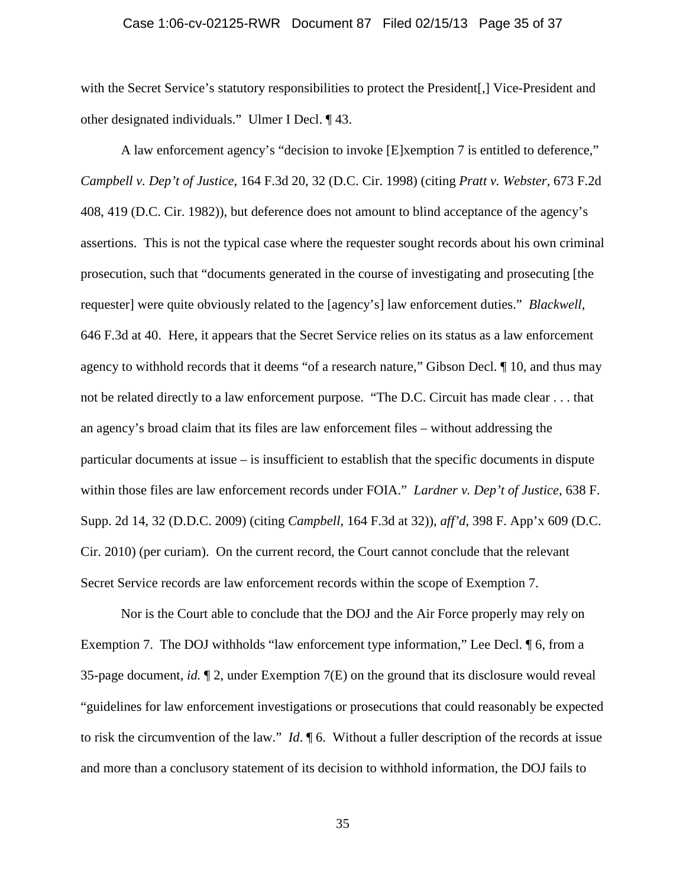#### Case 1:06-cv-02125-RWR Document 87 Filed 02/15/13 Page 35 of 37

with the Secret Service's statutory responsibilities to protect the President. Nice-President and other designated individuals." Ulmer I Decl. ¶ 43.

A law enforcement agency's "decision to invoke [E]xemption 7 is entitled to deference," *Campbell v. Dep't of Justice*, 164 F.3d 20, 32 (D.C. Cir. 1998) (citing *Pratt v. Webster,* 673 F.2d 408, 419 (D.C. Cir. 1982)), but deference does not amount to blind acceptance of the agency's assertions. This is not the typical case where the requester sought records about his own criminal prosecution, such that "documents generated in the course of investigating and prosecuting [the requester] were quite obviously related to the [agency's] law enforcement duties." *Blackwell*, 646 F.3d at 40. Here, it appears that the Secret Service relies on its status as a law enforcement agency to withhold records that it deems "of a research nature," Gibson Decl. ¶ 10, and thus may not be related directly to a law enforcement purpose. "The D.C. Circuit has made clear . . . that an agency's broad claim that its files are law enforcement files – without addressing the particular documents at issue – is insufficient to establish that the specific documents in dispute within those files are law enforcement records under FOIA." *Lardner v. Dep't of Justice*, 638 F. Supp. 2d 14, 32 (D.D.C. 2009) (citing *Campbell*, 164 F.3d at 32)), *aff'd*, 398 F. App'x 609 (D.C. Cir. 2010) (per curiam). On the current record, the Court cannot conclude that the relevant Secret Service records are law enforcement records within the scope of Exemption 7.

Nor is the Court able to conclude that the DOJ and the Air Force properly may rely on Exemption 7. The DOJ withholds "law enforcement type information," Lee Decl. ¶ 6, from a 35-page document, *id.* ¶ 2, under Exemption 7(E) on the ground that its disclosure would reveal "guidelines for law enforcement investigations or prosecutions that could reasonably be expected to risk the circumvention of the law." *Id*. ¶ 6. Without a fuller description of the records at issue and more than a conclusory statement of its decision to withhold information, the DOJ fails to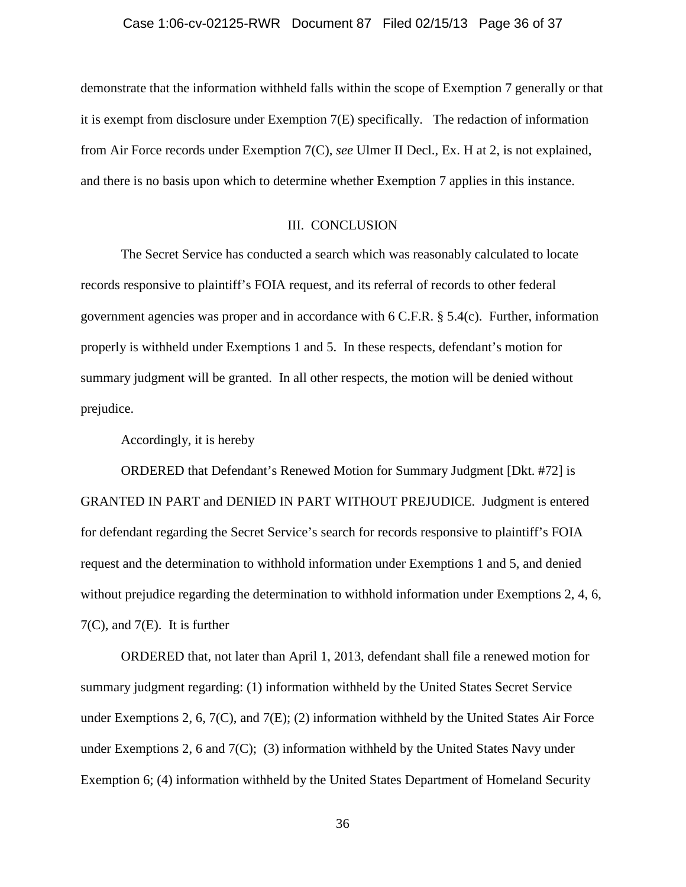demonstrate that the information withheld falls within the scope of Exemption 7 generally or that it is exempt from disclosure under Exemption 7(E) specifically. The redaction of information from Air Force records under Exemption 7(C), *see* Ulmer II Decl., Ex. H at 2, is not explained, and there is no basis upon which to determine whether Exemption 7 applies in this instance.

#### III. CONCLUSION

The Secret Service has conducted a search which was reasonably calculated to locate records responsive to plaintiff's FOIA request, and its referral of records to other federal government agencies was proper and in accordance with  $6 \text{ C.F.R.}$  § 5.4(c). Further, information properly is withheld under Exemptions 1 and 5. In these respects, defendant's motion for summary judgment will be granted. In all other respects, the motion will be denied without prejudice.

Accordingly, it is hereby

ORDERED that Defendant's Renewed Motion for Summary Judgment [Dkt. #72] is GRANTED IN PART and DENIED IN PART WITHOUT PREJUDICE. Judgment is entered for defendant regarding the Secret Service's search for records responsive to plaintiff's FOIA request and the determination to withhold information under Exemptions 1 and 5, and denied without prejudice regarding the determination to withhold information under Exemptions 2, 4, 6,  $7(C)$ , and  $7(E)$ . It is further

ORDERED that, not later than April 1, 2013, defendant shall file a renewed motion for summary judgment regarding: (1) information withheld by the United States Secret Service under Exemptions 2, 6,  $7(C)$ , and  $7(E)$ ; (2) information withheld by the United States Air Force under Exemptions 2, 6 and 7(C); (3) information withheld by the United States Navy under Exemption 6; (4) information withheld by the United States Department of Homeland Security